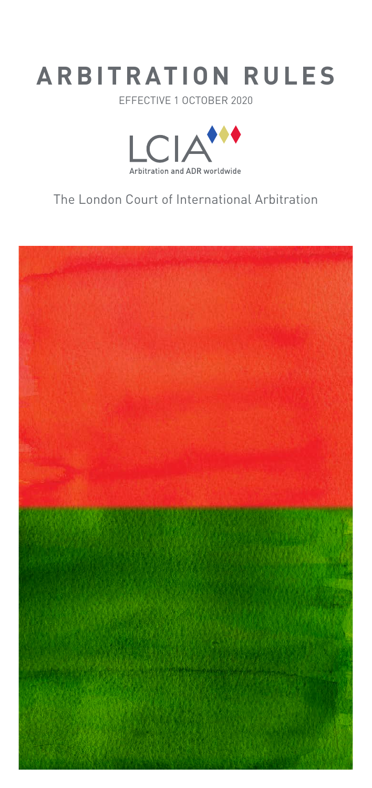

EFFECTIVE 1 OCTOBER 2020



The London Court of International Arbitration

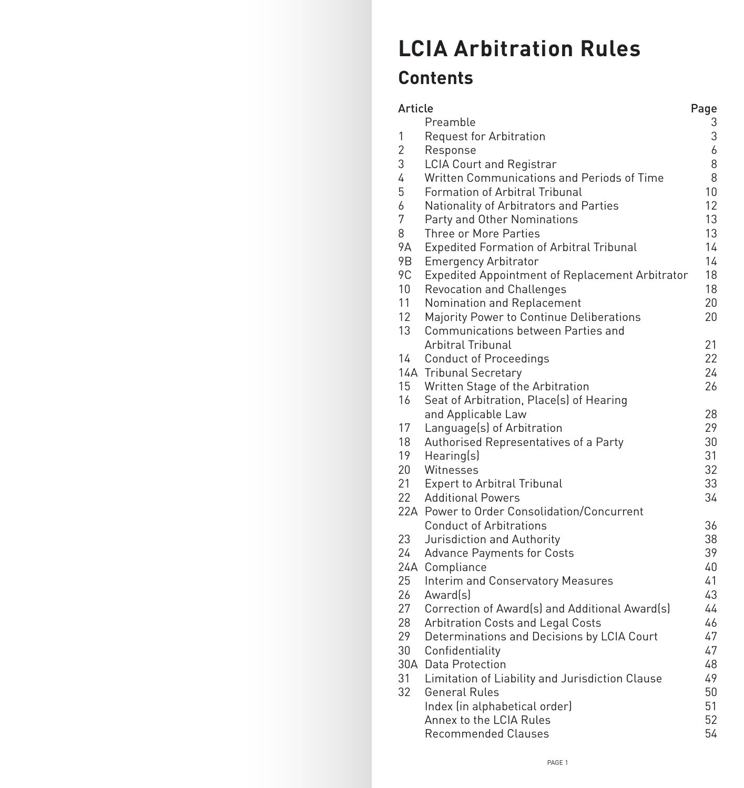# **LCIA Arbitration Rules Contents**

| Article        |                                                        |          |
|----------------|--------------------------------------------------------|----------|
|                | Preamble                                               | 3        |
| 1              | Request for Arbitration                                | 3        |
| $\overline{2}$ | Response                                               | 6        |
| 3              | <b>LCIA Court and Registrar</b>                        | 8        |
| 4              | Written Communications and Periods of Time             | 8        |
| 5              | <b>Formation of Arbitral Tribunal</b>                  | 10       |
| 6              | Nationality of Arbitrators and Parties                 | 12       |
| 7              | Party and Other Nominations                            | 13       |
| 8              | <b>Three or More Parties</b>                           | 13       |
| 9Α             | <b>Expedited Formation of Arbitral Tribunal</b>        | 14       |
| 9B             | <b>Emergency Arbitrator</b>                            | 14       |
| 9C             | <b>Expedited Appointment of Replacement Arbitrator</b> | 18       |
| 10             | <b>Revocation and Challenges</b>                       | 18       |
| 11             | Nomination and Replacement                             | 20       |
| 12             | Majority Power to Continue Deliberations               | 20       |
| 13             | <b>Communications between Parties and</b>              |          |
|                | Arbitral Tribunal                                      | 21       |
| 14             | <b>Conduct of Proceedings</b>                          | 22       |
|                | 14A Tribunal Secretary                                 | 24       |
| 15             | Written Stage of the Arbitration                       | 26       |
| 16             | Seat of Arbitration, Place(s) of Hearing               |          |
|                | and Applicable Law                                     | 28       |
| 17             | Language(s) of Arbitration                             | 29       |
| 18             | Authorised Representatives of a Party                  | 30       |
| 19             | Hearing(s)                                             | 31       |
| 20             | Witnesses                                              | 32       |
| 21             | <b>Expert to Arbitral Tribunal</b>                     | 33       |
| 22             | <b>Additional Powers</b>                               | 34       |
|                | 22A Power to Order Consolidation/Concurrent            |          |
|                | <b>Conduct of Arbitrations</b>                         | 36       |
| 23             | Jurisdiction and Authority                             | 38       |
| 24             | <b>Advance Payments for Costs</b>                      | 39       |
|                | 24A Compliance                                         | 40       |
| 25             | Interim and Conservatory Measures                      | 41       |
| 26             | Award(s)                                               | 43       |
| 27             | Correction of Award(s) and Additional Award(s)         | 44       |
| 28             | Arbitration Costs and Legal Costs                      | 46       |
| 29<br>30       | Determinations and Decisions by LCIA Court             | 47       |
|                | Confidentiality                                        | 47       |
|                | 30A Data Protection                                    | 48       |
| 31<br>32       | Limitation of Liability and Jurisdiction Clause        | 49       |
|                | General Rules                                          | 50<br>51 |
|                | Index (in alphabetical order)                          |          |
|                | Annex to the LCIA Rules                                | 52       |
|                | <b>Recommended Clauses</b>                             | 54       |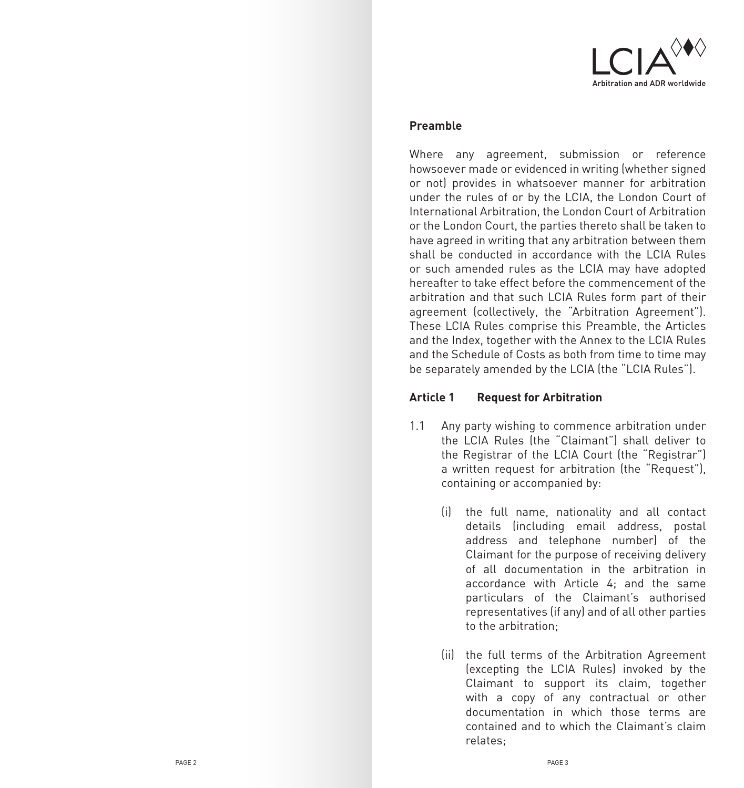

#### **Preamble**

Where any agreement, submission or reference howsoever made or evidenced in writing (whether signed or not) provides in whatsoever manner for arbitration under the rules of or by the LCIA, the London Court of International Arbitration, the London Court of Arbitration or the London Court, the parties thereto shall be taken to have agreed in writing that any arbitration between them shall be conducted in accordance with the LCIA Rules or such amended rules as the LCIA may have adopted hereafter to take effect before the commencement of the arbitration and that such LCIA Rules form part of their agreement (collectively, the "Arbitration Agreement"). These LCIA Rules comprise this Preamble, the Articles and the Index, together with the Annex to the LCIA Rules and the Schedule of Costs as both from time to time may be separately amended by the LCIA (the "LCIA Rules").

#### **Article 1 Request for Arbitration**

- 1.1 Any party wishing to commence arbitration under the LCIA Rules (the "Claimant") shall deliver to the Registrar of the LCIA Court (the "Registrar") a written request for arbitration (the "Request"), containing or accompanied by:
	- (i) the full name, nationality and all contact details (including email address, postal address and telephone number) of the Claimant for the purpose of receiving delivery of all documentation in the arbitration in accordance with Article 4; and the same particulars of the Claimant's authorised representatives (if any) and of all other parties to the arbitration;
	- (ii) the full terms of the Arbitration Agreement (excepting the LCIA Rules) invoked by the Claimant to support its claim, together with a copy of any contractual or other documentation in which those terms are contained and to which the Claimant's claim relates;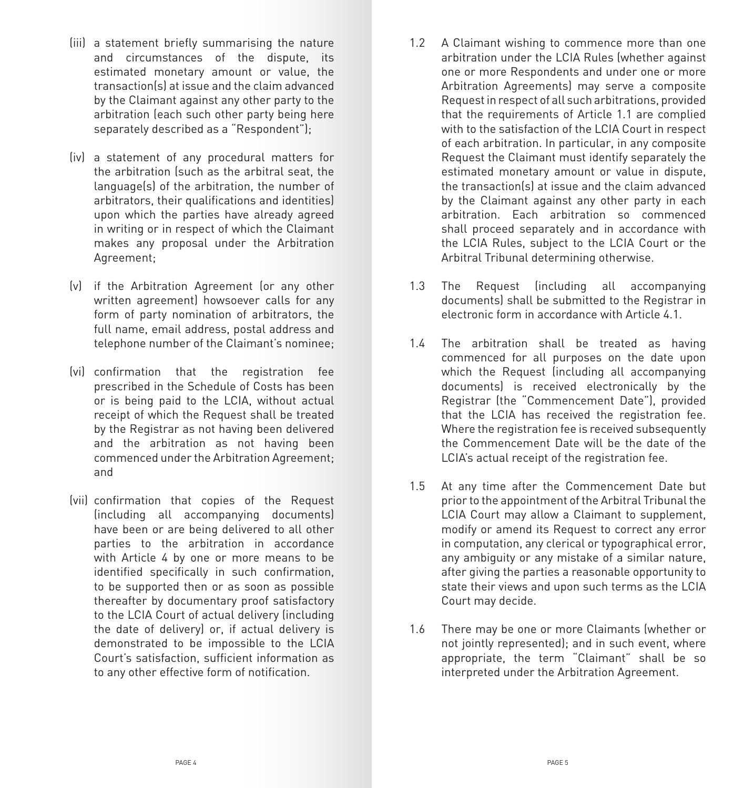- (iii) a statement briefly summarising the nature and circumstances of the dispute, its estimated monetary amount or value, the transaction(s) at issue and the claim advanced by the Claimant against any other party to the arbitration (each such other party being here separately described as a "Respondent");
- (iv) a statement of any procedural matters for the arbitration (such as the arbitral seat, the language(s) of the arbitration, the number of arbitrators, their qualifications and identities) upon which the parties have already agreed in writing or in respect of which the Claimant makes any proposal under the Arbitration Agreement;
- (v) if the Arbitration Agreement (or any other written agreement) howsoever calls for any form of party nomination of arbitrators, the full name, email address, postal address and telephone number of the Claimant's nominee;
- (vi) confirmation that the registration fee prescribed in the Schedule of Costs has been or is being paid to the LCIA, without actual receipt of which the Request shall be treated by the Registrar as not having been delivered and the arbitration as not having been commenced under the Arbitration Agreement; and
- (vii) confirmation that copies of the Request (including all accompanying documents) have been or are being delivered to all other parties to the arbitration in accordance with Article 4 by one or more means to be identified specifically in such confirmation, to be supported then or as soon as possible thereafter by documentary proof satisfactory to the LCIA Court of actual delivery (including the date of delivery) or, if actual delivery is demonstrated to be impossible to the LCIA Court's satisfaction, sufficient information as to any other effective form of notification.
- 1.2 A Claimant wishing to commence more than one arbitration under the LCIA Rules (whether against one or more Respondents and under one or more Arbitration Agreements) may serve a composite Request in respect of all such arbitrations, provided that the requirements of Article 1.1 are complied with to the satisfaction of the LCIA Court in respect of each arbitration. In particular, in any composite Request the Claimant must identify separately the estimated monetary amount or value in dispute, the transaction(s) at issue and the claim advanced by the Claimant against any other party in each arbitration. Each arbitration so commenced shall proceed separately and in accordance with the LCIA Rules, subject to the LCIA Court or the Arbitral Tribunal determining otherwise.
- 1.3 The Request (including all accompanying documents) shall be submitted to the Registrar in electronic form in accordance with Article 4.1.
- 1.4 The arbitration shall be treated as having commenced for all purposes on the date upon which the Request (including all accompanying documents) is received electronically by the Registrar (the "Commencement Date"), provided that the LCIA has received the registration fee. Where the registration fee is received subsequently the Commencement Date will be the date of the LCIA's actual receipt of the registration fee.
- 1.5 At any time after the Commencement Date but prior to the appointment of the Arbitral Tribunal the LCIA Court may allow a Claimant to supplement, modify or amend its Request to correct any error in computation, any clerical or typographical error, any ambiguity or any mistake of a similar nature, after giving the parties a reasonable opportunity to state their views and upon such terms as the LCIA Court may decide.
- 1.6 There may be one or more Claimants (whether or not jointly represented); and in such event, where appropriate, the term "Claimant" shall be so interpreted under the Arbitration Agreement.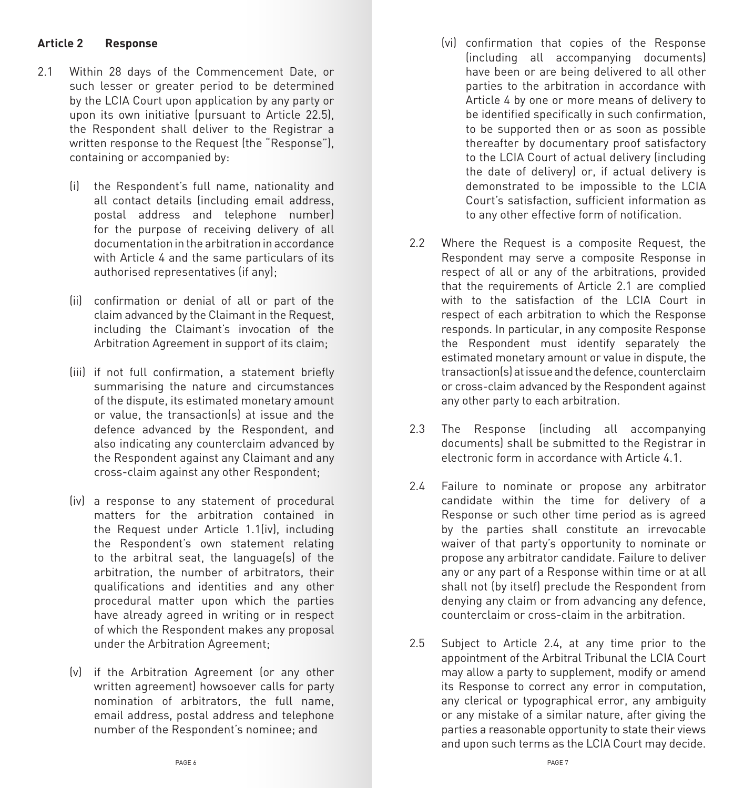#### **Article 2 Response**

- 2.1 Within 28 days of the Commencement Date, or such lesser or greater period to be determined by the LCIA Court upon application by any party or upon its own initiative (pursuant to Article 22.5), the Respondent shall deliver to the Registrar a written response to the Request (the "Response"), containing or accompanied by:
	- (i) the Respondent's full name, nationality and all contact details (including email address, postal address and telephone number) for the purpose of receiving delivery of all documentation in the arbitration in accordance with Article 4 and the same particulars of its authorised representatives (if any);
	- (ii) confirmation or denial of all or part of the claim advanced by the Claimant in the Request, including the Claimant's invocation of the Arbitration Agreement in support of its claim;
	- (iii) if not full confirmation, a statement briefly summarising the nature and circumstances of the dispute, its estimated monetary amount or value, the transaction(s) at issue and the defence advanced by the Respondent, and also indicating any counterclaim advanced by the Respondent against any Claimant and any cross-claim against any other Respondent;
	- (iv) a response to any statement of procedural matters for the arbitration contained in the Request under Article 1.1(iv), including the Respondent's own statement relating to the arbitral seat, the language(s) of the arbitration, the number of arbitrators, their qualifications and identities and any other procedural matter upon which the parties have already agreed in writing or in respect of which the Respondent makes any proposal under the Arbitration Agreement;
	- (v) if the Arbitration Agreement (or any other written agreement) howsoever calls for party nomination of arbitrators, the full name, email address, postal address and telephone number of the Respondent's nominee; and
- (vi) confirmation that copies of the Response (including all accompanying documents) have been or are being delivered to all other parties to the arbitration in accordance with Article 4 by one or more means of delivery to be identified specifically in such confirmation, to be supported then or as soon as possible thereafter by documentary proof satisfactory to the LCIA Court of actual delivery (including the date of delivery) or, if actual delivery is demonstrated to be impossible to the LCIA Court's satisfaction, sufficient information as to any other effective form of notification.
- 2.2 Where the Request is a composite Request, the Respondent may serve a composite Response in respect of all or any of the arbitrations, provided that the requirements of Article 2.1 are complied with to the satisfaction of the LCIA Court in respect of each arbitration to which the Response responds. In particular, in any composite Response the Respondent must identify separately the estimated monetary amount or value in dispute, the transaction(s) at issue and the defence, counterclaim or cross-claim advanced by the Respondent against any other party to each arbitration.
- 2.3 The Response (including all accompanying documents) shall be submitted to the Registrar in electronic form in accordance with Article 4.1.
- 2.4 Failure to nominate or propose any arbitrator candidate within the time for delivery of a Response or such other time period as is agreed by the parties shall constitute an irrevocable waiver of that party's opportunity to nominate or propose any arbitrator candidate. Failure to deliver any or any part of a Response within time or at all shall not (by itself) preclude the Respondent from denying any claim or from advancing any defence, counterclaim or cross-claim in the arbitration.
- 2.5 Subject to Article 2.4, at any time prior to the appointment of the Arbitral Tribunal the LCIA Court may allow a party to supplement, modify or amend its Response to correct any error in computation, any clerical or typographical error, any ambiguity or any mistake of a similar nature, after giving the parties a reasonable opportunity to state their views and upon such terms as the LCIA Court may decide.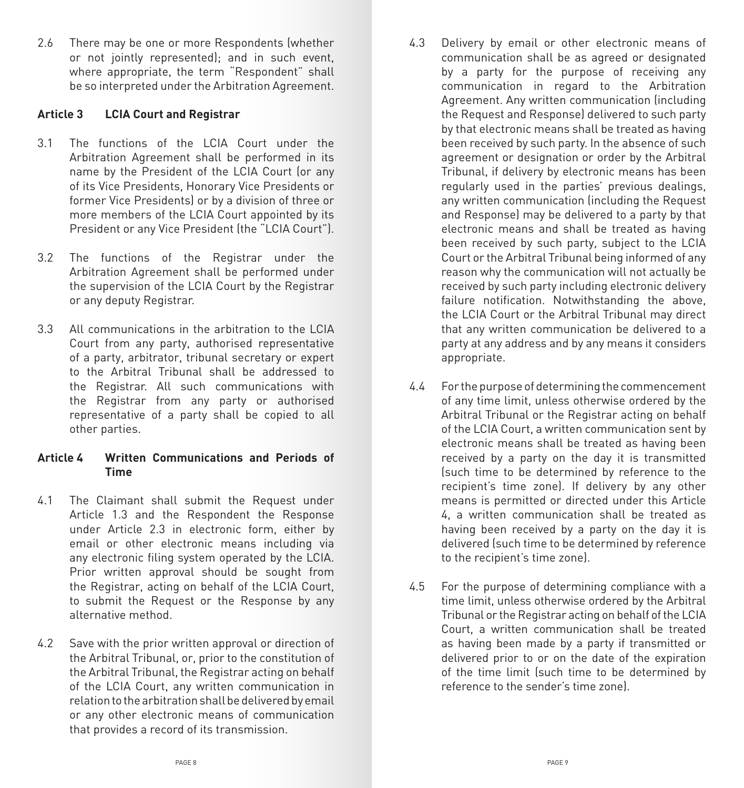2.6 There may be one or more Respondents (whether or not jointly represented); and in such event, where appropriate, the term "Respondent" shall be so interpreted under the Arbitration Agreement.

#### **Article 3 LCIA Court and Registrar**

- 3.1 The functions of the LCIA Court under the Arbitration Agreement shall be performed in its name by the President of the LCIA Court (or any of its Vice Presidents, Honorary Vice Presidents or former Vice Presidents) or by a division of three or more members of the LCIA Court appointed by its President or any Vice President (the "LCIA Court").
- 3.2 The functions of the Registrar under the Arbitration Agreement shall be performed under the supervision of the LCIA Court by the Registrar or any deputy Registrar.
- 3.3 All communications in the arbitration to the LCIA Court from any party, authorised representative of a party, arbitrator, tribunal secretary or expert to the Arbitral Tribunal shall be addressed to the Registrar. All such communications with the Registrar from any party or authorised representative of a party shall be copied to all other parties.

#### **Article 4 Written Communications and Periods of Time**

- 4.1 The Claimant shall submit the Request under Article 1.3 and the Respondent the Response under Article 2.3 in electronic form, either by email or other electronic means including via any electronic filing system operated by the LCIA. Prior written approval should be sought from the Registrar, acting on behalf of the LCIA Court, to submit the Request or the Response by any alternative method.
- 4.2 Save with the prior written approval or direction of the Arbitral Tribunal, or, prior to the constitution of the Arbitral Tribunal, the Registrar acting on behalf of the LCIA Court, any written communication in relation to the arbitration shall be delivered by email or any other electronic means of communication that provides a record of its transmission.
- 4.3 Delivery by email or other electronic means of communication shall be as agreed or designated by a party for the purpose of receiving any communication in regard to the Arbitration Agreement. Any written communication (including the Request and Response) delivered to such party by that electronic means shall be treated as having been received by such party. In the absence of such agreement or designation or order by the Arbitral Tribunal, if delivery by electronic means has been regularly used in the parties' previous dealings, any written communication (including the Request and Response) may be delivered to a party by that electronic means and shall be treated as having been received by such party, subject to the LCIA Court or the Arbitral Tribunal being informed of any reason why the communication will not actually be received by such party including electronic delivery failure notification. Notwithstanding the above, the LCIA Court or the Arbitral Tribunal may direct that any written communication be delivered to a party at any address and by any means it considers appropriate.
- 4.4 For the purpose of determining the commencement of any time limit, unless otherwise ordered by the Arbitral Tribunal or the Registrar acting on behalf of the LCIA Court, a written communication sent by electronic means shall be treated as having been received by a party on the day it is transmitted (such time to be determined by reference to the recipient's time zone). If delivery by any other means is permitted or directed under this Article 4, a written communication shall be treated as having been received by a party on the day it is delivered (such time to be determined by reference to the recipient's time zone).
- 4.5 For the purpose of determining compliance with a time limit, unless otherwise ordered by the Arbitral Tribunal or the Registrar acting on behalf of the LCIA Court, a written communication shall be treated as having been made by a party if transmitted or delivered prior to or on the date of the expiration of the time limit (such time to be determined by reference to the sender's time zone).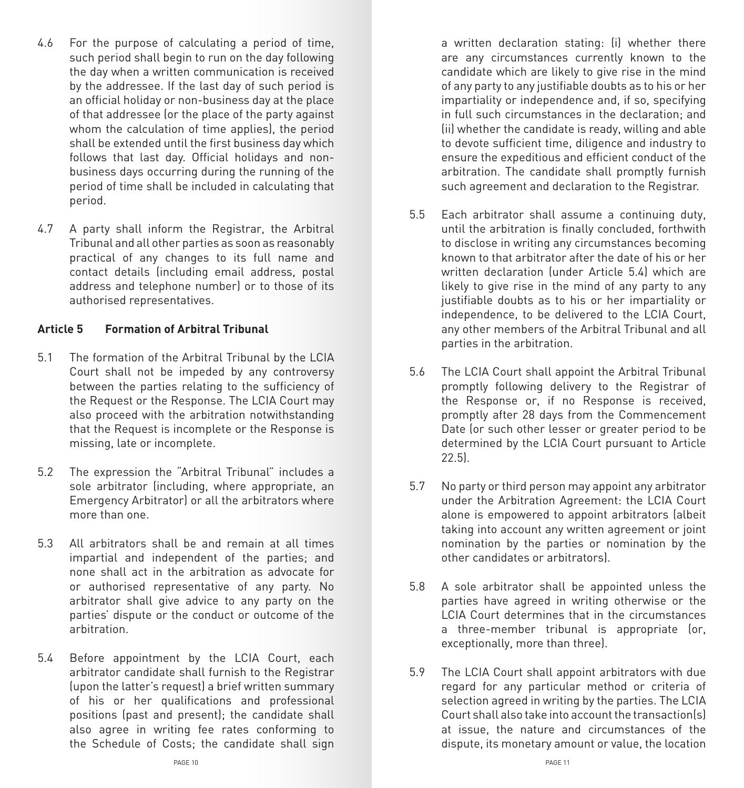- 4.6 For the purpose of calculating a period of time, such period shall begin to run on the day following the day when a written communication is received by the addressee. If the last day of such period is an official holiday or non-business day at the place of that addressee (or the place of the party against whom the calculation of time applies), the period shall be extended until the first business day which follows that last day. Official holidays and nonbusiness days occurring during the running of the period of time shall be included in calculating that period.
- 4.7 A party shall inform the Registrar, the Arbitral Tribunal and all other parties as soon as reasonably practical of any changes to its full name and contact details (including email address, postal address and telephone number) or to those of its authorised representatives.

#### **Article 5 Formation of Arbitral Tribunal**

- 5.1 The formation of the Arbitral Tribunal by the LCIA Court shall not be impeded by any controversy between the parties relating to the sufficiency of the Request or the Response. The LCIA Court may also proceed with the arbitration notwithstanding that the Request is incomplete or the Response is missing, late or incomplete.
- 5.2 The expression the "Arbitral Tribunal" includes a sole arbitrator (including, where appropriate, an Emergency Arbitrator) or all the arbitrators where more than one.
- 5.3 All arbitrators shall be and remain at all times impartial and independent of the parties; and none shall act in the arbitration as advocate for or authorised representative of any party. No arbitrator shall give advice to any party on the parties' dispute or the conduct or outcome of the arbitration.
- 5.4 Before appointment by the LCIA Court, each arbitrator candidate shall furnish to the Registrar (upon the latter's request) a brief written summary of his or her qualifications and professional positions (past and present); the candidate shall also agree in writing fee rates conforming to the Schedule of Costs; the candidate shall sign

a written declaration stating: (i) whether there are any circumstances currently known to the candidate which are likely to give rise in the mind of any party to any justifiable doubts as to his or her impartiality or independence and, if so, specifying in full such circumstances in the declaration; and (ii) whether the candidate is ready, willing and able to devote sufficient time, diligence and industry to ensure the expeditious and efficient conduct of the arbitration. The candidate shall promptly furnish such agreement and declaration to the Registrar.

- 5.5 Each arbitrator shall assume a continuing duty, until the arbitration is finally concluded, forthwith to disclose in writing any circumstances becoming known to that arbitrator after the date of his or her written declaration (under Article 5.4) which are likely to give rise in the mind of any party to any justifiable doubts as to his or her impartiality or independence, to be delivered to the LCIA Court, any other members of the Arbitral Tribunal and all parties in the arbitration.
- 5.6 The LCIA Court shall appoint the Arbitral Tribunal promptly following delivery to the Registrar of the Response or, if no Response is received, promptly after 28 days from the Commencement Date (or such other lesser or greater period to be determined by the LCIA Court pursuant to Article 22.5).
- 5.7 No party or third person may appoint any arbitrator under the Arbitration Agreement: the LCIA Court alone is empowered to appoint arbitrators (albeit taking into account any written agreement or joint nomination by the parties or nomination by the other candidates or arbitrators).
- 5.8 A sole arbitrator shall be appointed unless the parties have agreed in writing otherwise or the LCIA Court determines that in the circumstances a three-member tribunal is appropriate (or, exceptionally, more than three).
- 5.9 The LCIA Court shall appoint arbitrators with due regard for any particular method or criteria of selection agreed in writing by the parties. The LCIA Court shall also take into account the transaction(s) at issue, the nature and circumstances of the dispute, its monetary amount or value, the location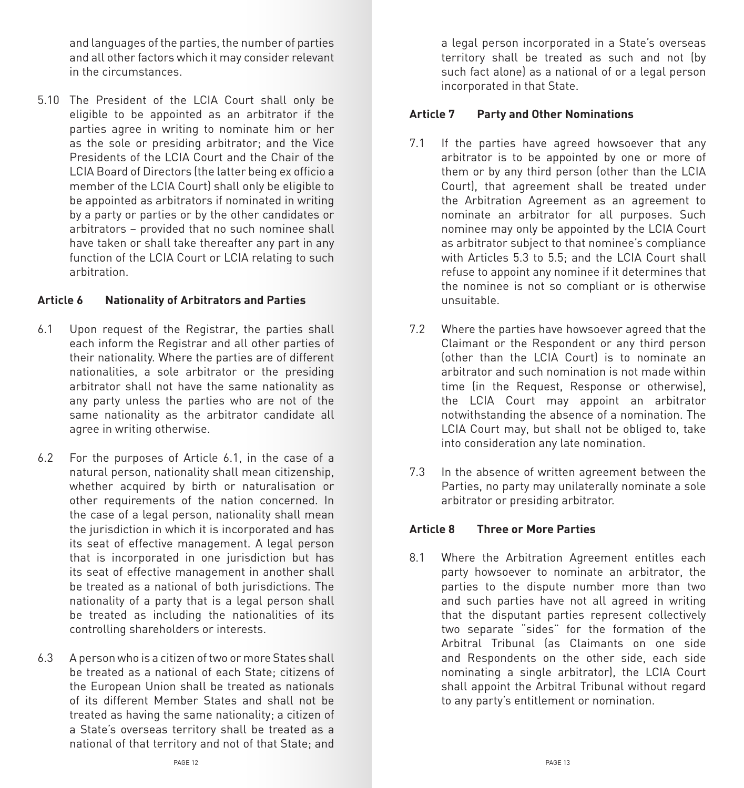and languages of the parties, the number of parties and all other factors which it may consider relevant in the circumstances.

5.10 The President of the LCIA Court shall only be eligible to be appointed as an arbitrator if the parties agree in writing to nominate him or her as the sole or presiding arbitrator; and the Vice Presidents of the LCIA Court and the Chair of the LCIA Board of Directors (the latter being ex officio a member of the LCIA Court) shall only be eligible to be appointed as arbitrators if nominated in writing by a party or parties or by the other candidates or arbitrators – provided that no such nominee shall have taken or shall take thereafter any part in any function of the LCIA Court or LCIA relating to such arbitration.

#### **Article 6 Nationality of Arbitrators and Parties**

- 6.1 Upon request of the Registrar, the parties shall each inform the Registrar and all other parties of their nationality. Where the parties are of different nationalities, a sole arbitrator or the presiding arbitrator shall not have the same nationality as any party unless the parties who are not of the same nationality as the arbitrator candidate all agree in writing otherwise.
- 6.2 For the purposes of Article 6.1, in the case of a natural person, nationality shall mean citizenship, whether acquired by birth or naturalisation or other requirements of the nation concerned. In the case of a legal person, nationality shall mean the jurisdiction in which it is incorporated and has its seat of effective management. A legal person that is incorporated in one jurisdiction but has its seat of effective management in another shall be treated as a national of both jurisdictions. The nationality of a party that is a legal person shall be treated as including the nationalities of its controlling shareholders or interests.
- 6.3 A person who is a citizen of two or more States shall be treated as a national of each State; citizens of the European Union shall be treated as nationals of its different Member States and shall not be treated as having the same nationality; a citizen of a State's overseas territory shall be treated as a national of that territory and not of that State; and

a legal person incorporated in a State's overseas territory shall be treated as such and not (by such fact alone) as a national of or a legal person incorporated in that State.

#### **Article 7 Party and Other Nominations**

- 7.1 If the parties have agreed howsoever that any arbitrator is to be appointed by one or more of them or by any third person (other than the LCIA Court), that agreement shall be treated under the Arbitration Agreement as an agreement to nominate an arbitrator for all purposes. Such nominee may only be appointed by the LCIA Court as arbitrator subject to that nominee's compliance with Articles 5.3 to 5.5; and the LCIA Court shall refuse to appoint any nominee if it determines that the nominee is not so compliant or is otherwise unsuitable.
- 7.2 Where the parties have howsoever agreed that the Claimant or the Respondent or any third person (other than the LCIA Court) is to nominate an arbitrator and such nomination is not made within time (in the Request, Response or otherwise), the LCIA Court may appoint an arbitrator notwithstanding the absence of a nomination. The LCIA Court may, but shall not be obliged to, take into consideration any late nomination.
- 7.3 In the absence of written agreement between the Parties, no party may unilaterally nominate a sole arbitrator or presiding arbitrator.

#### **Article 8 Three or More Parties**

8.1 Where the Arbitration Agreement entitles each party howsoever to nominate an arbitrator, the parties to the dispute number more than two and such parties have not all agreed in writing that the disputant parties represent collectively two separate "sides" for the formation of the Arbitral Tribunal (as Claimants on one side and Respondents on the other side, each side nominating a single arbitrator), the LCIA Court shall appoint the Arbitral Tribunal without regard to any party's entitlement or nomination.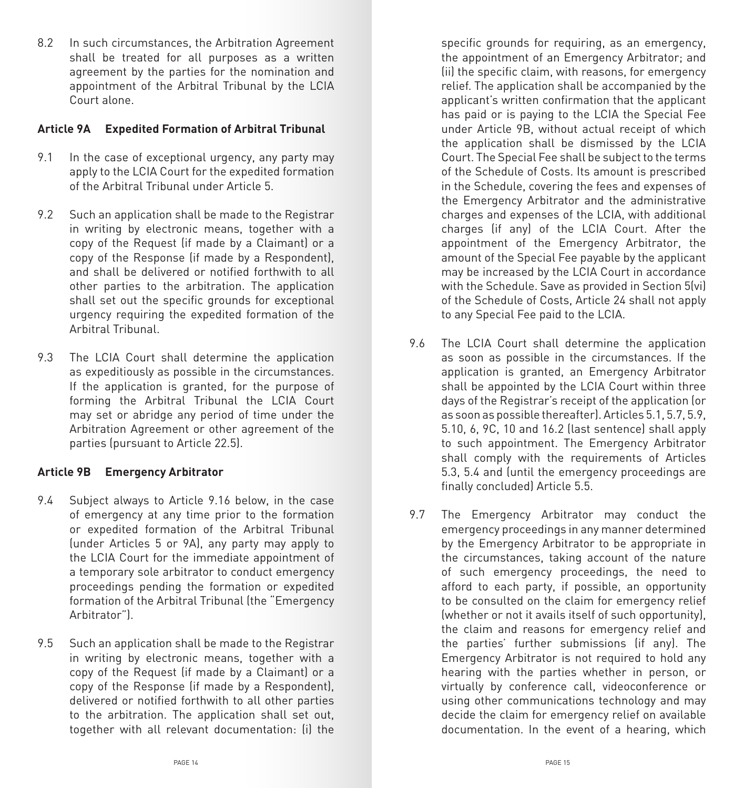8.2 In such circumstances, the Arbitration Agreement shall be treated for all purposes as a written agreement by the parties for the nomination and appointment of the Arbitral Tribunal by the LCIA Court alone.

#### **Article 9A Expedited Formation of Arbitral Tribunal**

- 9.1 In the case of exceptional urgency, any party may apply to the LCIA Court for the expedited formation of the Arbitral Tribunal under Article 5.
- 9.2 Such an application shall be made to the Registrar in writing by electronic means, together with a copy of the Request (if made by a Claimant) or a copy of the Response (if made by a Respondent), and shall be delivered or notified forthwith to all other parties to the arbitration. The application shall set out the specific grounds for exceptional urgency requiring the expedited formation of the Arbitral Tribunal.
- 9.3 The LCIA Court shall determine the application as expeditiously as possible in the circumstances. If the application is granted, for the purpose of forming the Arbitral Tribunal the LCIA Court may set or abridge any period of time under the Arbitration Agreement or other agreement of the parties (pursuant to Article 22.5).

#### **Article 9B Emergency Arbitrator**

- 9.4 Subject always to Article 9.16 below, in the case of emergency at any time prior to the formation or expedited formation of the Arbitral Tribunal (under Articles 5 or 9A), any party may apply to the LCIA Court for the immediate appointment of a temporary sole arbitrator to conduct emergency proceedings pending the formation or expedited formation of the Arbitral Tribunal (the "Emergency Arbitrator").
- 9.5 Such an application shall be made to the Registrar in writing by electronic means, together with a copy of the Request (if made by a Claimant) or a copy of the Response (if made by a Respondent), delivered or notified forthwith to all other parties to the arbitration. The application shall set out, together with all relevant documentation: (i) the

specific grounds for requiring, as an emergency, the appointment of an Emergency Arbitrator; and (ii) the specific claim, with reasons, for emergency relief. The application shall be accompanied by the applicant's written confirmation that the applicant has paid or is paying to the LCIA the Special Fee under Article 9B, without actual receipt of which the application shall be dismissed by the LCIA Court. The Special Fee shall be subject to the terms of the Schedule of Costs. Its amount is prescribed in the Schedule, covering the fees and expenses of the Emergency Arbitrator and the administrative charges and expenses of the LCIA, with additional charges (if any) of the LCIA Court. After the appointment of the Emergency Arbitrator, the amount of the Special Fee payable by the applicant may be increased by the LCIA Court in accordance with the Schedule. Save as provided in Section 5(vi) of the Schedule of Costs, Article 24 shall not apply to any Special Fee paid to the LCIA.

- 9.6 The LCIA Court shall determine the application as soon as possible in the circumstances. If the application is granted, an Emergency Arbitrator shall be appointed by the LCIA Court within three days of the Registrar's receipt of the application (or as soon as possible thereafter). Articles 5.1, 5.7, 5.9, 5.10, 6, 9C, 10 and 16.2 (last sentence) shall apply to such appointment. The Emergency Arbitrator shall comply with the requirements of Articles 5.3, 5.4 and (until the emergency proceedings are finally concluded) Article 5.5.
- 9.7 The Emergency Arbitrator may conduct the emergency proceedings in any manner determined by the Emergency Arbitrator to be appropriate in the circumstances, taking account of the nature of such emergency proceedings, the need to afford to each party, if possible, an opportunity to be consulted on the claim for emergency relief (whether or not it avails itself of such opportunity), the claim and reasons for emergency relief and the parties' further submissions (if any). The Emergency Arbitrator is not required to hold any hearing with the parties whether in person, or virtually by conference call, videoconference or using other communications technology and may decide the claim for emergency relief on available documentation. In the event of a hearing, which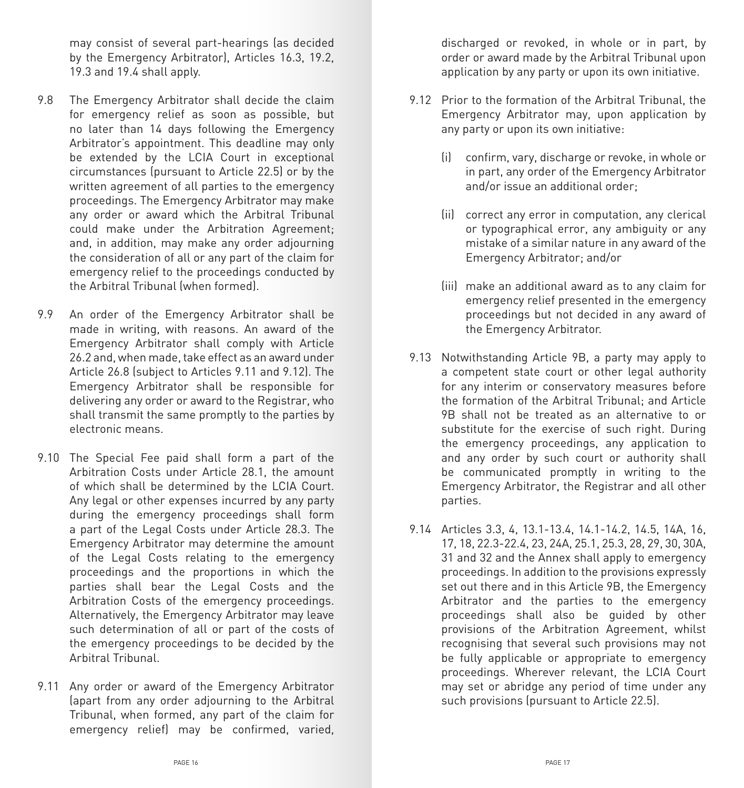may consist of several part-hearings (as decided by the Emergency Arbitrator), Articles 16.3, 19.2, 19.3 and 19.4 shall apply.

- 9.8 The Emergency Arbitrator shall decide the claim for emergency relief as soon as possible, but no later than 14 days following the Emergency Arbitrator's appointment. This deadline may only be extended by the LCIA Court in exceptional circumstances (pursuant to Article 22.5) or by the written agreement of all parties to the emergency proceedings. The Emergency Arbitrator may make any order or award which the Arbitral Tribunal could make under the Arbitration Agreement; and, in addition, may make any order adjourning the consideration of all or any part of the claim for emergency relief to the proceedings conducted by the Arbitral Tribunal (when formed).
- 9.9 An order of the Emergency Arbitrator shall be made in writing, with reasons. An award of the Emergency Arbitrator shall comply with Article 26.2 and, when made, take effect as an award under Article 26.8 (subject to Articles 9.11 and 9.12). The Emergency Arbitrator shall be responsible for delivering any order or award to the Registrar, who shall transmit the same promptly to the parties by electronic means.
- 9.10 The Special Fee paid shall form a part of the Arbitration Costs under Article 28.1, the amount of which shall be determined by the LCIA Court. Any legal or other expenses incurred by any party during the emergency proceedings shall form a part of the Legal Costs under Article 28.3. The Emergency Arbitrator may determine the amount of the Legal Costs relating to the emergency proceedings and the proportions in which the parties shall bear the Legal Costs and the Arbitration Costs of the emergency proceedings. Alternatively, the Emergency Arbitrator may leave such determination of all or part of the costs of the emergency proceedings to be decided by the Arbitral Tribunal.
- 9.11 Any order or award of the Emergency Arbitrator (apart from any order adjourning to the Arbitral Tribunal, when formed, any part of the claim for emergency relief) may be confirmed, varied,

discharged or revoked, in whole or in part, by order or award made by the Arbitral Tribunal upon application by any party or upon its own initiative.

- 9.12 Prior to the formation of the Arbitral Tribunal, the Emergency Arbitrator may, upon application by any party or upon its own initiative:
	- (i) confirm, vary, discharge or revoke, in whole or in part, any order of the Emergency Arbitrator and/or issue an additional order;
	- (ii) correct any error in computation, any clerical or typographical error, any ambiguity or any mistake of a similar nature in any award of the Emergency Arbitrator; and/or
	- (iii) make an additional award as to any claim for emergency relief presented in the emergency proceedings but not decided in any award of the Emergency Arbitrator.
- 9.13 Notwithstanding Article 9B, a party may apply to a competent state court or other legal authority for any interim or conservatory measures before the formation of the Arbitral Tribunal; and Article 9B shall not be treated as an alternative to or substitute for the exercise of such right. During the emergency proceedings, any application to and any order by such court or authority shall be communicated promptly in writing to the Emergency Arbitrator, the Registrar and all other parties.
- 9.14 Articles 3.3, 4, 13.1-13.4, 14.1-14.2, 14.5, 14A, 16, 17, 18, 22.3-22.4, 23, 24A, 25.1, 25.3, 28, 29, 30, 30A, 31 and 32 and the Annex shall apply to emergency proceedings. In addition to the provisions expressly set out there and in this Article 9B, the Emergency Arbitrator and the parties to the emergency proceedings shall also be guided by other provisions of the Arbitration Agreement, whilst recognising that several such provisions may not be fully applicable or appropriate to emergency proceedings. Wherever relevant, the LCIA Court may set or abridge any period of time under any such provisions (pursuant to Article 22.5).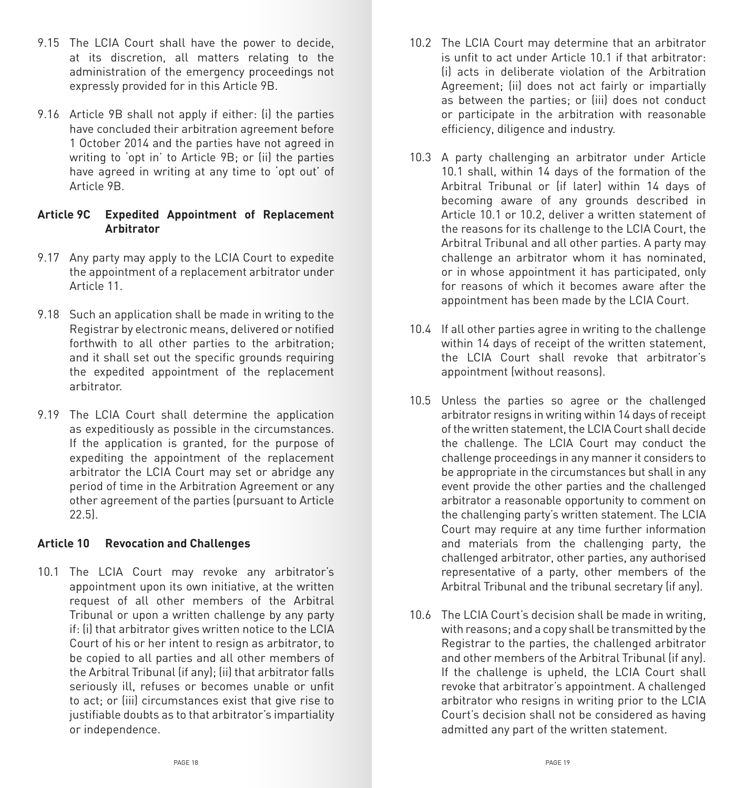- 9.15 The LCIA Court shall have the power to decide, at its discretion, all matters relating to the administration of the emergency proceedings not expressly provided for in this Article 9B.
- 9.16 Article 9B shall not apply if either: (i) the parties have concluded their arbitration agreement before 1 October 2014 and the parties have not agreed in writing to 'opt in' to Article 9B; or (ii) the parties have agreed in writing at any time to 'opt out' of Article 9B.

#### **Article 9C Expedited Appointment of Replacement Arbitrator**

- 9.17 Any party may apply to the LCIA Court to expedite the appointment of a replacement arbitrator under Article 11.
- 9.18 Such an application shall be made in writing to the Registrar by electronic means, delivered or notified forthwith to all other parties to the arbitration; and it shall set out the specific grounds requiring the expedited appointment of the replacement arbitrator.
- 9.19 The LCIA Court shall determine the application as expeditiously as possible in the circumstances. If the application is granted, for the purpose of expediting the appointment of the replacement arbitrator the LCIA Court may set or abridge any period of time in the Arbitration Agreement or any other agreement of the parties (pursuant to Article 22.5).

### **Article 10 Revocation and Challenges**

10.1 The LCIA Court may revoke any arbitrator's appointment upon its own initiative, at the written request of all other members of the Arbitral Tribunal or upon a written challenge by any party if: (i) that arbitrator gives written notice to the LCIA Court of his or her intent to resign as arbitrator, to be copied to all parties and all other members of the Arbitral Tribunal (if any); (ii) that arbitrator falls seriously ill, refuses or becomes unable or unfit to act; or (iii) circumstances exist that give rise to justifiable doubts as to that arbitrator's impartiality or independence.

- 10.2 The LCIA Court may determine that an arbitrator is unfit to act under Article 10.1 if that arbitrator: (i) acts in deliberate violation of the Arbitration Agreement; (ii) does not act fairly or impartially as between the parties; or (iii) does not conduct or participate in the arbitration with reasonable efficiency, diligence and industry.
- 10.3 A party challenging an arbitrator under Article 10.1 shall, within 14 days of the formation of the Arbitral Tribunal or (if later) within 14 days of becoming aware of any grounds described in Article 10.1 or 10.2, deliver a written statement of the reasons for its challenge to the LCIA Court, the Arbitral Tribunal and all other parties. A party may challenge an arbitrator whom it has nominated, or in whose appointment it has participated, only for reasons of which it becomes aware after the appointment has been made by the LCIA Court.
- 10.4 If all other parties agree in writing to the challenge within 14 days of receipt of the written statement. the LCIA Court shall revoke that arbitrator's appointment (without reasons).
- 10.5 Unless the parties so agree or the challenged arbitrator resigns in writing within 14 days of receipt of the written statement, the LCIA Court shall decide the challenge. The LCIA Court may conduct the challenge proceedings in any manner it considers to be appropriate in the circumstances but shall in any event provide the other parties and the challenged arbitrator a reasonable opportunity to comment on the challenging party's written statement. The LCIA Court may require at any time further information and materials from the challenging party, the challenged arbitrator, other parties, any authorised representative of a party, other members of the Arbitral Tribunal and the tribunal secretary (if any).
- 10.6 The LCIA Court's decision shall be made in writing, with reasons; and a copy shall be transmitted by the Registrar to the parties, the challenged arbitrator and other members of the Arbitral Tribunal (if any). If the challenge is upheld, the LCIA Court shall revoke that arbitrator's appointment. A challenged arbitrator who resigns in writing prior to the LCIA Court's decision shall not be considered as having admitted any part of the written statement.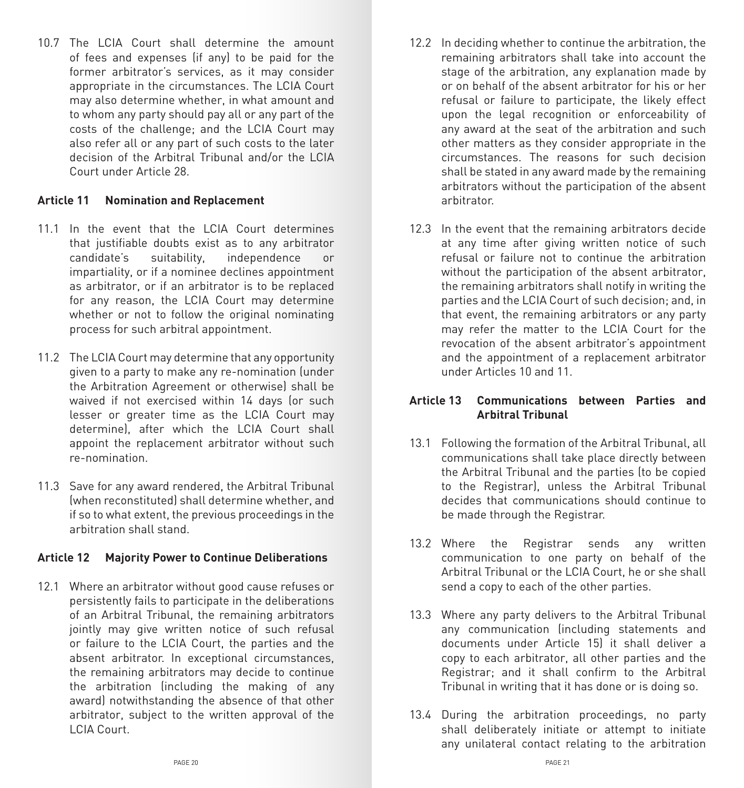10.7 The LCIA Court shall determine the amount of fees and expenses (if any) to be paid for the former arbitrator's services, as it may consider appropriate in the circumstances. The LCIA Court may also determine whether, in what amount and to whom any party should pay all or any part of the costs of the challenge; and the LCIA Court may also refer all or any part of such costs to the later decision of the Arbitral Tribunal and/or the LCIA Court under Article 28.

#### **Article 11 Nomination and Replacement**

- 11.1 In the event that the LCIA Court determines that justifiable doubts exist as to any arbitrator candidate's suitability, independence or impartiality, or if a nominee declines appointment as arbitrator, or if an arbitrator is to be replaced for any reason, the LCIA Court may determine whether or not to follow the original nominating process for such arbitral appointment.
- 11.2 The LCIA Court may determine that any opportunity given to a party to make any re-nomination (under the Arbitration Agreement or otherwise) shall be waived if not exercised within 14 days (or such lesser or greater time as the LCIA Court may determine), after which the LCIA Court shall appoint the replacement arbitrator without such re-nomination.
- 11.3 Save for any award rendered, the Arbitral Tribunal (when reconstituted) shall determine whether, and if so to what extent, the previous proceedings in the arbitration shall stand.

## **Article 12 Majority Power to Continue Deliberations**

12.1 Where an arbitrator without good cause refuses or persistently fails to participate in the deliberations of an Arbitral Tribunal, the remaining arbitrators jointly may give written notice of such refusal or failure to the LCIA Court, the parties and the absent arbitrator. In exceptional circumstances, the remaining arbitrators may decide to continue the arbitration (including the making of any award) notwithstanding the absence of that other arbitrator, subject to the written approval of the LCIA Court.

- 12.2 In deciding whether to continue the arbitration, the remaining arbitrators shall take into account the stage of the arbitration, any explanation made by or on behalf of the absent arbitrator for his or her refusal or failure to participate, the likely effect upon the legal recognition or enforceability of any award at the seat of the arbitration and such other matters as they consider appropriate in the circumstances. The reasons for such decision shall be stated in any award made by the remaining arbitrators without the participation of the absent arbitrator.
- 12.3 In the event that the remaining arbitrators decide at any time after giving written notice of such refusal or failure not to continue the arbitration without the participation of the absent arbitrator, the remaining arbitrators shall notify in writing the parties and the LCIA Court of such decision; and, in that event, the remaining arbitrators or any party may refer the matter to the LCIA Court for the revocation of the absent arbitrator's appointment and the appointment of a replacement arbitrator under Articles 10 and 11.

### **Article 13 Communications between Parties and Arbitral Tribunal**

- 13.1 Following the formation of the Arbitral Tribunal, all communications shall take place directly between the Arbitral Tribunal and the parties (to be copied to the Registrar), unless the Arbitral Tribunal decides that communications should continue to be made through the Registrar.
- 13.2 Where the Registrar sends any written communication to one party on behalf of the Arbitral Tribunal or the LCIA Court, he or she shall send a copy to each of the other parties.
- 13.3 Where any party delivers to the Arbitral Tribunal any communication (including statements and documents under Article 15) it shall deliver a copy to each arbitrator, all other parties and the Registrar; and it shall confirm to the Arbitral Tribunal in writing that it has done or is doing so.
- 13.4 During the arbitration proceedings, no party shall deliberately initiate or attempt to initiate any unilateral contact relating to the arbitration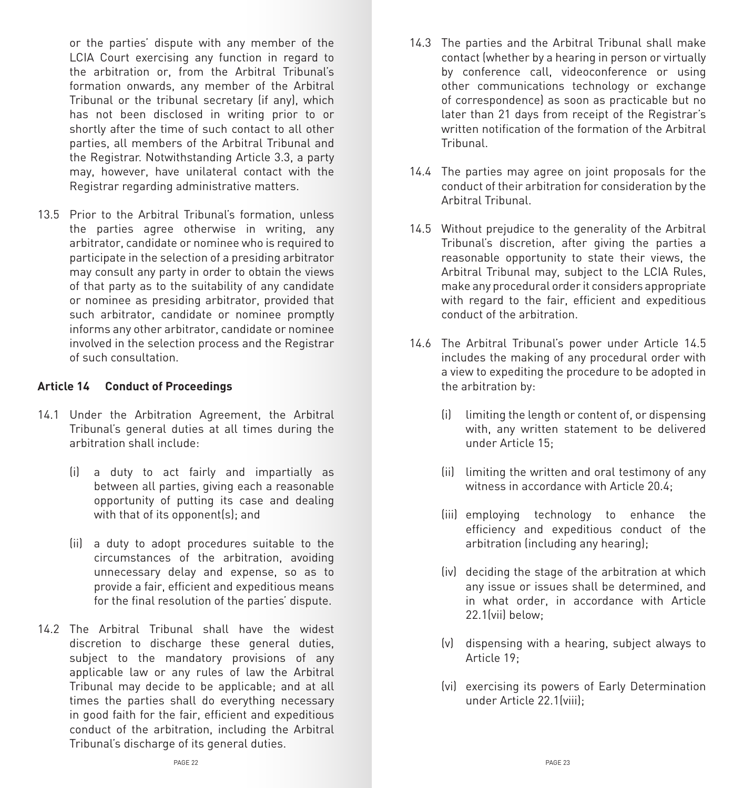or the parties' dispute with any member of the LCIA Court exercising any function in regard to the arbitration or, from the Arbitral Tribunal's formation onwards, any member of the Arbitral Tribunal or the tribunal secretary (if any), which has not been disclosed in writing prior to or shortly after the time of such contact to all other parties, all members of the Arbitral Tribunal and the Registrar. Notwithstanding Article 3.3, a party may, however, have unilateral contact with the Registrar regarding administrative matters.

13.5 Prior to the Arbitral Tribunal's formation, unless the parties agree otherwise in writing, any arbitrator, candidate or nominee who is required to participate in the selection of a presiding arbitrator may consult any party in order to obtain the views of that party as to the suitability of any candidate or nominee as presiding arbitrator, provided that such arbitrator, candidate or nominee promptly informs any other arbitrator, candidate or nominee involved in the selection process and the Registrar of such consultation.

#### **Article 14 Conduct of Proceedings**

- 14.1 Under the Arbitration Agreement, the Arbitral Tribunal's general duties at all times during the arbitration shall include:
	- (i) a duty to act fairly and impartially as between all parties, giving each a reasonable opportunity of putting its case and dealing with that of its opponent(s); and
	- (ii) a duty to adopt procedures suitable to the circumstances of the arbitration, avoiding unnecessary delay and expense, so as to provide a fair, efficient and expeditious means for the final resolution of the parties' dispute.
- 14.2 The Arbitral Tribunal shall have the widest discretion to discharge these general duties, subject to the mandatory provisions of any applicable law or any rules of law the Arbitral Tribunal may decide to be applicable; and at all times the parties shall do everything necessary in good faith for the fair, efficient and expeditious conduct of the arbitration, including the Arbitral Tribunal's discharge of its general duties.
- 14.3 The parties and the Arbitral Tribunal shall make contact (whether by a hearing in person or virtually by conference call, videoconference or using other communications technology or exchange of correspondence) as soon as practicable but no later than 21 days from receipt of the Registrar's written notification of the formation of the Arbitral Tribunal.
- 14.4 The parties may agree on joint proposals for the conduct of their arbitration for consideration by the Arbitral Tribunal.
- 14.5 Without prejudice to the generality of the Arbitral Tribunal's discretion, after giving the parties a reasonable opportunity to state their views, the Arbitral Tribunal may, subject to the LCIA Rules, make any procedural order it considers appropriate with regard to the fair, efficient and expeditious conduct of the arbitration.
- 14.6 The Arbitral Tribunal's power under Article 14.5 includes the making of any procedural order with a view to expediting the procedure to be adopted in the arbitration by:
	- (i) limiting the length or content of, or dispensing with, any written statement to be delivered under Article 15;
	- (ii) limiting the written and oral testimony of any witness in accordance with Article 20.4;
	- (iii) employing technology to enhance the efficiency and expeditious conduct of the arbitration (including any hearing);
	- (iv) deciding the stage of the arbitration at which any issue or issues shall be determined, and in what order, in accordance with Article 22.1(vii) below;
	- (v) dispensing with a hearing, subject always to Article 19;
	- (vi) exercising its powers of Early Determination under Article 22.1(viii);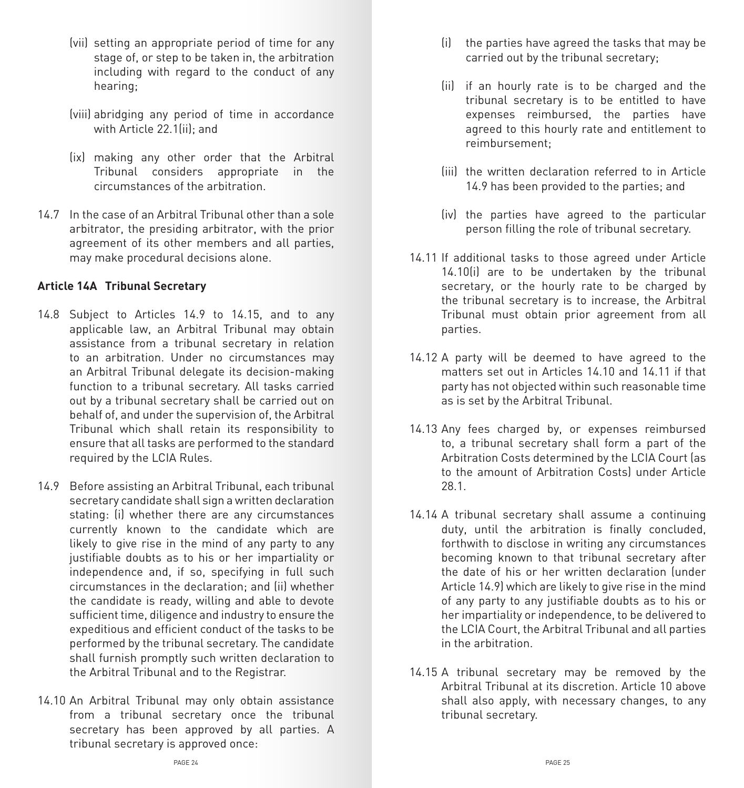- (vii) setting an appropriate period of time for any stage of, or step to be taken in, the arbitration including with regard to the conduct of any hearing;
- (viii) abridging any period of time in accordance with Article 22.1(ii); and
- (ix) making any other order that the Arbitral Tribunal considers appropriate in the circumstances of the arbitration.
- 14.7 In the case of an Arbitral Tribunal other than a sole arbitrator, the presiding arbitrator, with the prior agreement of its other members and all parties, may make procedural decisions alone.

#### **Article 14A Tribunal Secretary**

- 14.8 Subject to Articles 14.9 to 14.15, and to any applicable law, an Arbitral Tribunal may obtain assistance from a tribunal secretary in relation to an arbitration. Under no circumstances may an Arbitral Tribunal delegate its decision-making function to a tribunal secretary. All tasks carried out by a tribunal secretary shall be carried out on behalf of, and under the supervision of, the Arbitral Tribunal which shall retain its responsibility to ensure that all tasks are performed to the standard required by the LCIA Rules.
- 14.9 Before assisting an Arbitral Tribunal, each tribunal secretary candidate shall sign a written declaration stating: (i) whether there are any circumstances currently known to the candidate which are likely to give rise in the mind of any party to any justifiable doubts as to his or her impartiality or independence and, if so, specifying in full such circumstances in the declaration; and (ii) whether the candidate is ready, willing and able to devote sufficient time, diligence and industry to ensure the expeditious and efficient conduct of the tasks to be performed by the tribunal secretary. The candidate shall furnish promptly such written declaration to the Arbitral Tribunal and to the Registrar.
- 14.10 An Arbitral Tribunal may only obtain assistance from a tribunal secretary once the tribunal secretary has been approved by all parties. A tribunal secretary is approved once:
- (i) the parties have agreed the tasks that may be carried out by the tribunal secretary;
- (ii) if an hourly rate is to be charged and the tribunal secretary is to be entitled to have expenses reimbursed, the parties have agreed to this hourly rate and entitlement to reimbursement;
- (iii) the written declaration referred to in Article 14.9 has been provided to the parties; and
- (iv) the parties have agreed to the particular person filling the role of tribunal secretary.
- 14.11 If additional tasks to those agreed under Article 14.10(i) are to be undertaken by the tribunal secretary, or the hourly rate to be charged by the tribunal secretary is to increase, the Arbitral Tribunal must obtain prior agreement from all parties.
- 14.12 A party will be deemed to have agreed to the matters set out in Articles 14.10 and 14.11 if that party has not objected within such reasonable time as is set by the Arbitral Tribunal.
- 14.13 Any fees charged by, or expenses reimbursed to, a tribunal secretary shall form a part of the Arbitration Costs determined by the LCIA Court (as to the amount of Arbitration Costs) under Article 28.1.
- 14.14 A tribunal secretary shall assume a continuing duty, until the arbitration is finally concluded, forthwith to disclose in writing any circumstances becoming known to that tribunal secretary after the date of his or her written declaration (under Article 14.9) which are likely to give rise in the mind of any party to any justifiable doubts as to his or her impartiality or independence, to be delivered to the LCIA Court, the Arbitral Tribunal and all parties in the arbitration.
- 14.15 A tribunal secretary may be removed by the Arbitral Tribunal at its discretion. Article 10 above shall also apply, with necessary changes, to any tribunal secretary.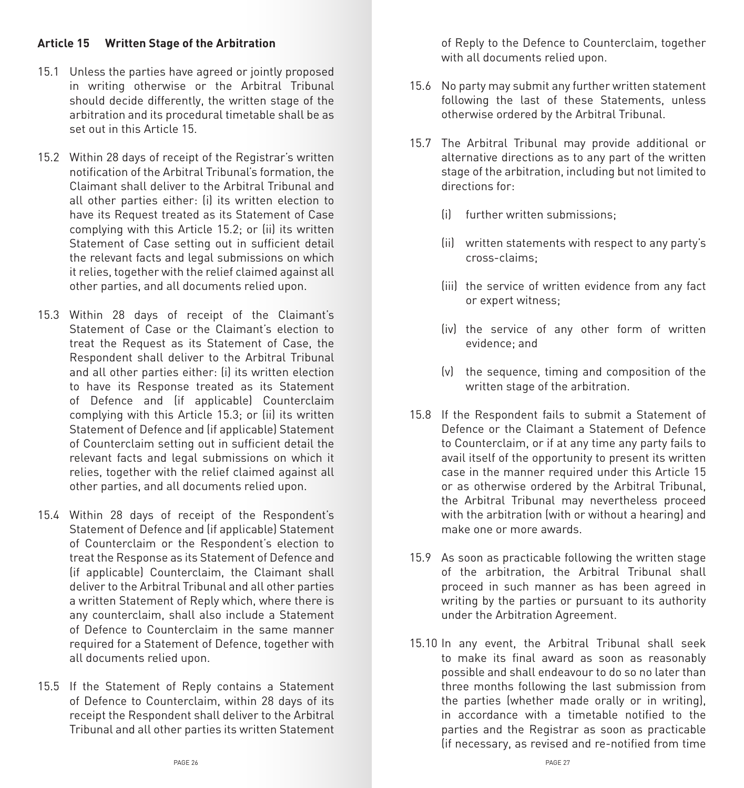#### **Article 15 Written Stage of the Arbitration**

- 15.1 Unless the parties have agreed or jointly proposed in writing otherwise or the Arbitral Tribunal should decide differently, the written stage of the arbitration and its procedural timetable shall be as set out in this Article 15.
- 15.2 Within 28 days of receipt of the Registrar's written notification of the Arbitral Tribunal's formation, the Claimant shall deliver to the Arbitral Tribunal and all other parties either: (i) its written election to have its Request treated as its Statement of Case complying with this Article 15.2; or (ii) its written Statement of Case setting out in sufficient detail the relevant facts and legal submissions on which it relies, together with the relief claimed against all other parties, and all documents relied upon.
- 15.3 Within 28 days of receipt of the Claimant's Statement of Case or the Claimant's election to treat the Request as its Statement of Case, the Respondent shall deliver to the Arbitral Tribunal and all other parties either: (i) its written election to have its Response treated as its Statement of Defence and (if applicable) Counterclaim complying with this Article 15.3; or (ii) its written Statement of Defence and (if applicable) Statement of Counterclaim setting out in sufficient detail the relevant facts and legal submissions on which it relies, together with the relief claimed against all other parties, and all documents relied upon.
- 15.4 Within 28 days of receipt of the Respondent's Statement of Defence and (if applicable) Statement of Counterclaim or the Respondent's election to treat the Response as its Statement of Defence and (if applicable) Counterclaim, the Claimant shall deliver to the Arbitral Tribunal and all other parties a written Statement of Reply which, where there is any counterclaim, shall also include a Statement of Defence to Counterclaim in the same manner required for a Statement of Defence, together with all documents relied upon.
- 15.5 If the Statement of Reply contains a Statement of Defence to Counterclaim, within 28 days of its receipt the Respondent shall deliver to the Arbitral Tribunal and all other parties its written Statement

of Reply to the Defence to Counterclaim, together with all documents relied upon.

- 15.6 No party may submit any further written statement following the last of these Statements, unless otherwise ordered by the Arbitral Tribunal.
- 15.7 The Arbitral Tribunal may provide additional or alternative directions as to any part of the written stage of the arbitration, including but not limited to directions for:
	- (i) further written submissions;
	- (ii) written statements with respect to any party's cross-claims;
	- (iii) the service of written evidence from any fact or expert witness;
	- (iv) the service of any other form of written evidence; and
	- (v) the sequence, timing and composition of the written stage of the arbitration.
- 15.8 If the Respondent fails to submit a Statement of Defence or the Claimant a Statement of Defence to Counterclaim, or if at any time any party fails to avail itself of the opportunity to present its written case in the manner required under this Article 15 or as otherwise ordered by the Arbitral Tribunal, the Arbitral Tribunal may nevertheless proceed with the arbitration (with or without a hearing) and make one or more awards.
- 15.9 As soon as practicable following the written stage of the arbitration, the Arbitral Tribunal shall proceed in such manner as has been agreed in writing by the parties or pursuant to its authority under the Arbitration Agreement.
- 15.10 In any event, the Arbitral Tribunal shall seek to make its final award as soon as reasonably possible and shall endeavour to do so no later than three months following the last submission from the parties (whether made orally or in writing), in accordance with a timetable notified to the parties and the Registrar as soon as practicable (if necessary, as revised and re-notified from time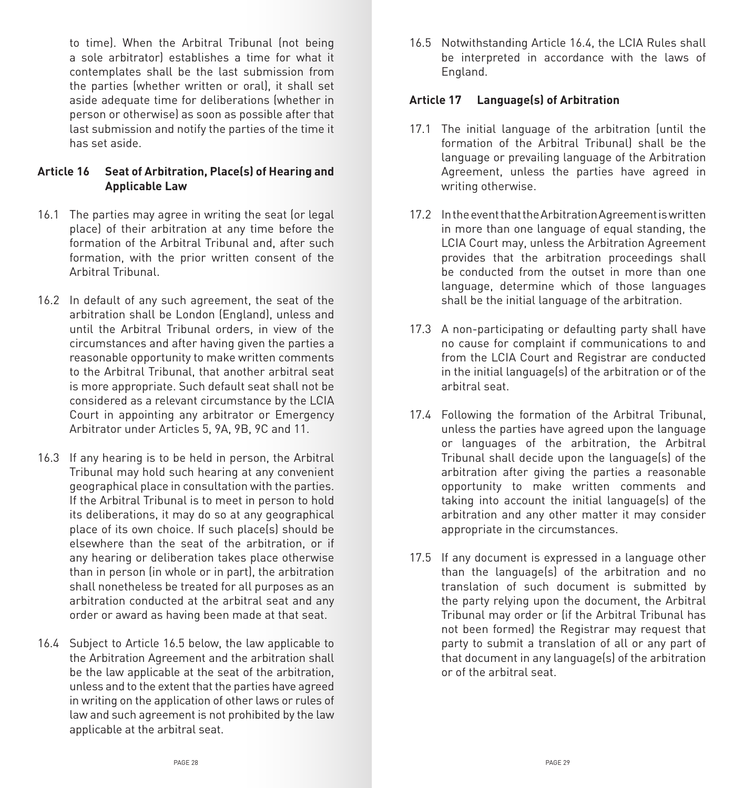to time). When the Arbitral Tribunal (not being a sole arbitrator) establishes a time for what it contemplates shall be the last submission from the parties (whether written or oral), it shall set aside adequate time for deliberations (whether in person or otherwise) as soon as possible after that last submission and notify the parties of the time it has set aside.

#### **Article 16 Seat of Arbitration, Place(s) of Hearing and Applicable Law**

- 16.1 The parties may agree in writing the seat (or legal place) of their arbitration at any time before the formation of the Arbitral Tribunal and, after such formation, with the prior written consent of the Arbitral Tribunal.
- 16.2 In default of any such agreement, the seat of the arbitration shall be London (England), unless and until the Arbitral Tribunal orders, in view of the circumstances and after having given the parties a reasonable opportunity to make written comments to the Arbitral Tribunal, that another arbitral seat is more appropriate. Such default seat shall not be considered as a relevant circumstance by the LCIA Court in appointing any arbitrator or Emergency Arbitrator under Articles 5, 9A, 9B, 9C and 11.
- 16.3 If any hearing is to be held in person, the Arbitral Tribunal may hold such hearing at any convenient geographical place in consultation with the parties. If the Arbitral Tribunal is to meet in person to hold its deliberations, it may do so at any geographical place of its own choice. If such place(s) should be elsewhere than the seat of the arbitration, or if any hearing or deliberation takes place otherwise than in person (in whole or in part), the arbitration shall nonetheless be treated for all purposes as an arbitration conducted at the arbitral seat and any order or award as having been made at that seat.
- 16.4 Subject to Article 16.5 below, the law applicable to the Arbitration Agreement and the arbitration shall be the law applicable at the seat of the arbitration, unless and to the extent that the parties have agreed in writing on the application of other laws or rules of law and such agreement is not prohibited by the law applicable at the arbitral seat.

16.5 Notwithstanding Article 16.4, the LCIA Rules shall be interpreted in accordance with the laws of England.

#### **Article 17 Language(s) of Arbitration**

- 17.1 The initial language of the arbitration (until the formation of the Arbitral Tribunal) shall be the language or prevailing language of the Arbitration Agreement, unless the parties have agreed in writing otherwise.
- 17.2 In the event that the Arbitration Agreement is written in more than one language of equal standing, the LCIA Court may, unless the Arbitration Agreement provides that the arbitration proceedings shall be conducted from the outset in more than one language, determine which of those languages shall be the initial language of the arbitration.
- 17.3 A non-participating or defaulting party shall have no cause for complaint if communications to and from the LCIA Court and Registrar are conducted in the initial language(s) of the arbitration or of the arbitral seat.
- 17.4 Following the formation of the Arbitral Tribunal, unless the parties have agreed upon the language or languages of the arbitration, the Arbitral Tribunal shall decide upon the language(s) of the arbitration after giving the parties a reasonable opportunity to make written comments and taking into account the initial language(s) of the arbitration and any other matter it may consider appropriate in the circumstances.
- 17.5 If any document is expressed in a language other than the language(s) of the arbitration and no translation of such document is submitted by the party relying upon the document, the Arbitral Tribunal may order or (if the Arbitral Tribunal has not been formed) the Registrar may request that party to submit a translation of all or any part of that document in any language(s) of the arbitration or of the arbitral seat.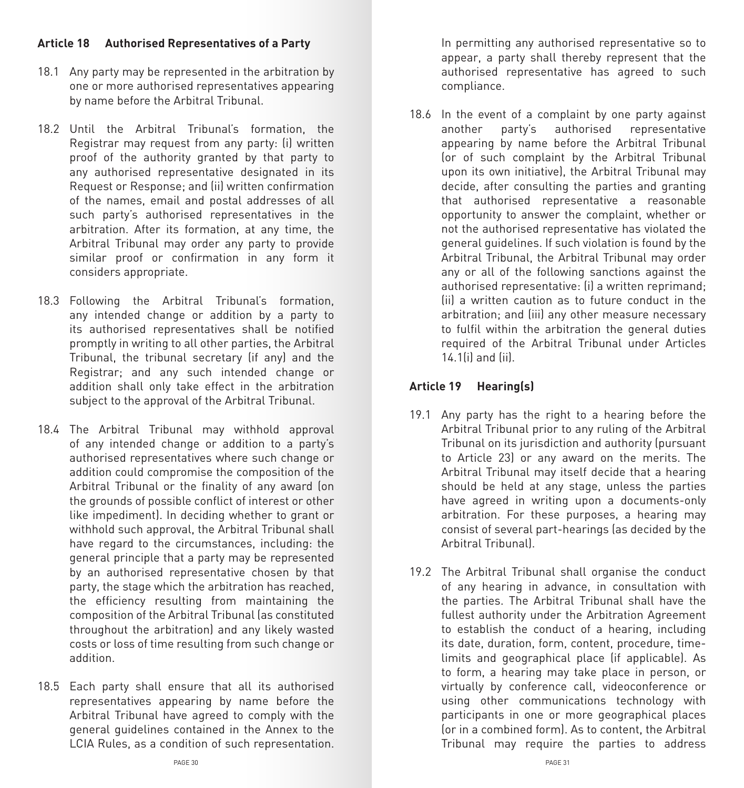#### **Article 18 Authorised Representatives of a Party**

- 18.1 Any party may be represented in the arbitration by one or more authorised representatives appearing by name before the Arbitral Tribunal.
- 18.2 Until the Arbitral Tribunal's formation, the Registrar may request from any party: (i) written proof of the authority granted by that party to any authorised representative designated in its Request or Response; and (ii) written confirmation of the names, email and postal addresses of all such party's authorised representatives in the arbitration. After its formation, at any time, the Arbitral Tribunal may order any party to provide similar proof or confirmation in any form it considers appropriate.
- 18.3 Following the Arbitral Tribunal's formation, any intended change or addition by a party to its authorised representatives shall be notified promptly in writing to all other parties, the Arbitral Tribunal, the tribunal secretary (if any) and the Registrar; and any such intended change or addition shall only take effect in the arbitration subject to the approval of the Arbitral Tribunal.
- 18.4 The Arbitral Tribunal may withhold approval of any intended change or addition to a party's authorised representatives where such change or addition could compromise the composition of the Arbitral Tribunal or the finality of any award (on the grounds of possible conflict of interest or other like impediment). In deciding whether to grant or withhold such approval, the Arbitral Tribunal shall have regard to the circumstances, including: the general principle that a party may be represented by an authorised representative chosen by that party, the stage which the arbitration has reached, the efficiency resulting from maintaining the composition of the Arbitral Tribunal (as constituted throughout the arbitration) and any likely wasted costs or loss of time resulting from such change or addition.
- 18.5 Each party shall ensure that all its authorised representatives appearing by name before the Arbitral Tribunal have agreed to comply with the general guidelines contained in the Annex to the LCIA Rules, as a condition of such representation.

In permitting any authorised representative so to appear, a party shall thereby represent that the authorised representative has agreed to such compliance.

18.6 In the event of a complaint by one party against another party's authorised representative appearing by name before the Arbitral Tribunal (or of such complaint by the Arbitral Tribunal upon its own initiative), the Arbitral Tribunal may decide, after consulting the parties and granting that authorised representative a reasonable opportunity to answer the complaint, whether or not the authorised representative has violated the general guidelines. If such violation is found by the Arbitral Tribunal, the Arbitral Tribunal may order any or all of the following sanctions against the authorised representative: (i) a written reprimand; (ii) a written caution as to future conduct in the arbitration; and (iii) any other measure necessary to fulfil within the arbitration the general duties required of the Arbitral Tribunal under Articles  $14.1$   $\text{iii}$  and  $\text{iii}$ .

#### **Article 19 Hearing(s)**

- 19.1 Any party has the right to a hearing before the Arbitral Tribunal prior to any ruling of the Arbitral Tribunal on its jurisdiction and authority (pursuant to Article 23) or any award on the merits. The Arbitral Tribunal may itself decide that a hearing should be held at any stage, unless the parties have agreed in writing upon a documents-only arbitration. For these purposes, a hearing may consist of several part-hearings (as decided by the Arbitral Tribunal).
- 19.2 The Arbitral Tribunal shall organise the conduct of any hearing in advance, in consultation with the parties. The Arbitral Tribunal shall have the fullest authority under the Arbitration Agreement to establish the conduct of a hearing, including its date, duration, form, content, procedure, timelimits and geographical place (if applicable). As to form, a hearing may take place in person, or virtually by conference call, videoconference or using other communications technology with participants in one or more geographical places (or in a combined form). As to content, the Arbitral Tribunal may require the parties to address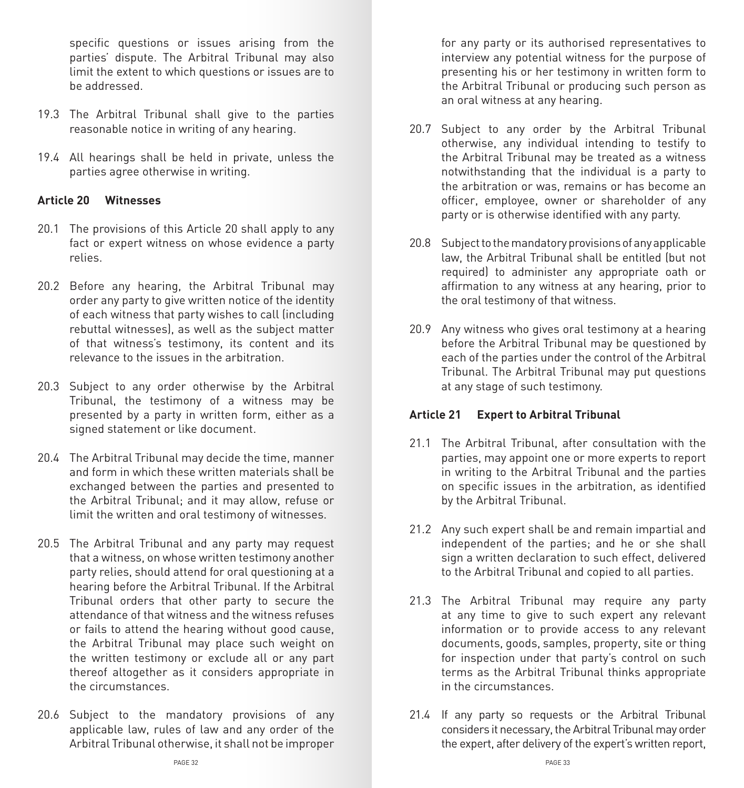specific questions or issues arising from the parties' dispute. The Arbitral Tribunal may also limit the extent to which questions or issues are to be addressed.

- 19.3 The Arbitral Tribunal shall give to the parties reasonable notice in writing of any hearing.
- 19.4 All hearings shall be held in private, unless the parties agree otherwise in writing.

#### **Article 20 Witnesses**

- 20.1 The provisions of this Article 20 shall apply to any fact or expert witness on whose evidence a party relies.
- 20.2 Before any hearing, the Arbitral Tribunal may order any party to give written notice of the identity of each witness that party wishes to call (including rebuttal witnesses), as well as the subject matter of that witness's testimony, its content and its relevance to the issues in the arbitration.
- 20.3 Subject to any order otherwise by the Arbitral Tribunal, the testimony of a witness may be presented by a party in written form, either as a signed statement or like document.
- 20.4 The Arbitral Tribunal may decide the time, manner and form in which these written materials shall be exchanged between the parties and presented to the Arbitral Tribunal; and it may allow, refuse or limit the written and oral testimony of witnesses.
- 20.5 The Arbitral Tribunal and any party may request that a witness, on whose written testimony another party relies, should attend for oral questioning at a hearing before the Arbitral Tribunal. If the Arbitral Tribunal orders that other party to secure the attendance of that witness and the witness refuses or fails to attend the hearing without good cause, the Arbitral Tribunal may place such weight on the written testimony or exclude all or any part thereof altogether as it considers appropriate in the circumstances.
- 20.6 Subject to the mandatory provisions of any applicable law, rules of law and any order of the Arbitral Tribunal otherwise, it shall not be improper

for any party or its authorised representatives to interview any potential witness for the purpose of presenting his or her testimony in written form to the Arbitral Tribunal or producing such person as an oral witness at any hearing.

- 20.7 Subject to any order by the Arbitral Tribunal otherwise, any individual intending to testify to the Arbitral Tribunal may be treated as a witness notwithstanding that the individual is a party to the arbitration or was, remains or has become an officer, employee, owner or shareholder of any party or is otherwise identified with any party.
- 20.8 Subject to the mandatory provisions of any applicable law, the Arbitral Tribunal shall be entitled (but not required) to administer any appropriate oath or affirmation to any witness at any hearing, prior to the oral testimony of that witness.
- 20.9 Any witness who gives oral testimony at a hearing before the Arbitral Tribunal may be questioned by each of the parties under the control of the Arbitral Tribunal. The Arbitral Tribunal may put questions at any stage of such testimony.

#### **Article 21 Expert to Arbitral Tribunal**

- 21.1 The Arbitral Tribunal, after consultation with the parties, may appoint one or more experts to report in writing to the Arbitral Tribunal and the parties on specific issues in the arbitration, as identified by the Arbitral Tribunal.
- 21.2 Any such expert shall be and remain impartial and independent of the parties; and he or she shall sign a written declaration to such effect, delivered to the Arbitral Tribunal and copied to all parties.
- 21.3 The Arbitral Tribunal may require any party at any time to give to such expert any relevant information or to provide access to any relevant documents, goods, samples, property, site or thing for inspection under that party's control on such terms as the Arbitral Tribunal thinks appropriate in the circumstances.
- 21.4 If any party so requests or the Arbitral Tribunal considers it necessary, the Arbitral Tribunal may order the expert, after delivery of the expert's written report,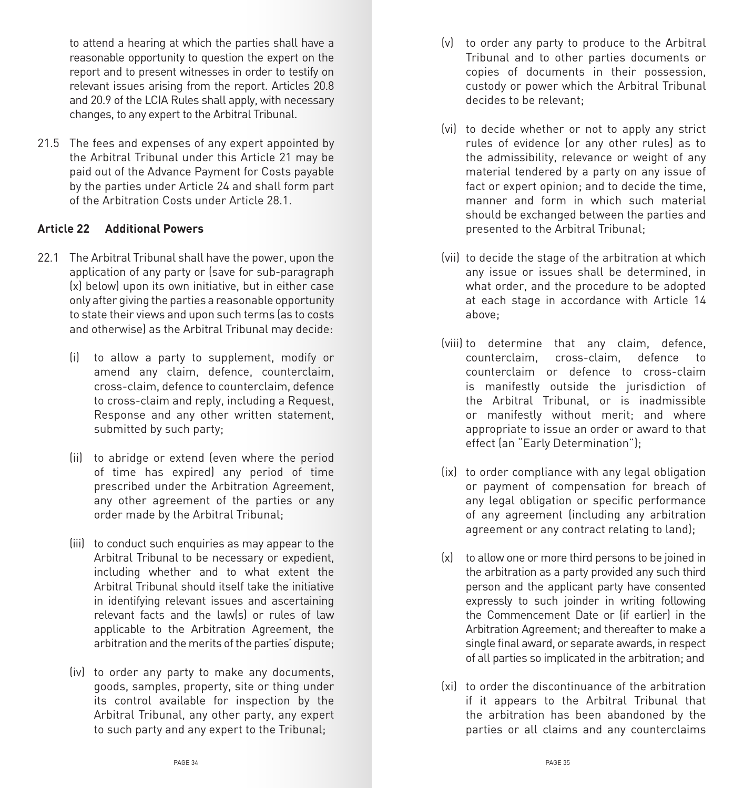to attend a hearing at which the parties shall have a reasonable opportunity to question the expert on the report and to present witnesses in order to testify on relevant issues arising from the report. Articles 20.8 and 20.9 of the LCIA Rules shall apply, with necessary changes, to any expert to the Arbitral Tribunal.

21.5 The fees and expenses of any expert appointed by the Arbitral Tribunal under this Article 21 may be paid out of the Advance Payment for Costs payable by the parties under Article 24 and shall form part of the Arbitration Costs under Article 28.1.

#### **Article 22 Additional Powers**

- 22.1 The Arbitral Tribunal shall have the power, upon the application of any party or (save for sub-paragraph (x) below) upon its own initiative, but in either case only after giving the parties a reasonable opportunity to state their views and upon such terms (as to costs and otherwise) as the Arbitral Tribunal may decide:
	- (i) to allow a party to supplement, modify or amend any claim, defence, counterclaim, cross-claim, defence to counterclaim, defence to cross-claim and reply, including a Request, Response and any other written statement, submitted by such party;
	- (ii) to abridge or extend (even where the period of time has expired) any period of time prescribed under the Arbitration Agreement, any other agreement of the parties or any order made by the Arbitral Tribunal;
	- (iii) to conduct such enquiries as may appear to the Arbitral Tribunal to be necessary or expedient, including whether and to what extent the Arbitral Tribunal should itself take the initiative in identifying relevant issues and ascertaining relevant facts and the law(s) or rules of law applicable to the Arbitration Agreement, the arbitration and the merits of the parties' dispute;
	- (iv) to order any party to make any documents, goods, samples, property, site or thing under its control available for inspection by the Arbitral Tribunal, any other party, any expert to such party and any expert to the Tribunal;
- (v) to order any party to produce to the Arbitral Tribunal and to other parties documents or copies of documents in their possession, custody or power which the Arbitral Tribunal decides to be relevant;
- (vi) to decide whether or not to apply any strict rules of evidence (or any other rules) as to the admissibility, relevance or weight of any material tendered by a party on any issue of fact or expert opinion; and to decide the time, manner and form in which such material should be exchanged between the parties and presented to the Arbitral Tribunal;
- (vii) to decide the stage of the arbitration at which any issue or issues shall be determined, in what order, and the procedure to be adopted at each stage in accordance with Article 14 above;
- (viii) to determine that any claim, defence, counterclaim, cross-claim, defence to counterclaim or defence to cross-claim is manifestly outside the jurisdiction of the Arbitral Tribunal, or is inadmissible or manifestly without merit; and where appropriate to issue an order or award to that effect (an "Early Determination");
- (ix) to order compliance with any legal obligation or payment of compensation for breach of any legal obligation or specific performance of any agreement (including any arbitration agreement or any contract relating to land);
- (x) to allow one or more third persons to be joined in the arbitration as a party provided any such third person and the applicant party have consented expressly to such joinder in writing following the Commencement Date or (if earlier) in the Arbitration Agreement; and thereafter to make a single final award, or separate awards, in respect of all parties so implicated in the arbitration; and
- (xi) to order the discontinuance of the arbitration if it appears to the Arbitral Tribunal that the arbitration has been abandoned by the parties or all claims and any counterclaims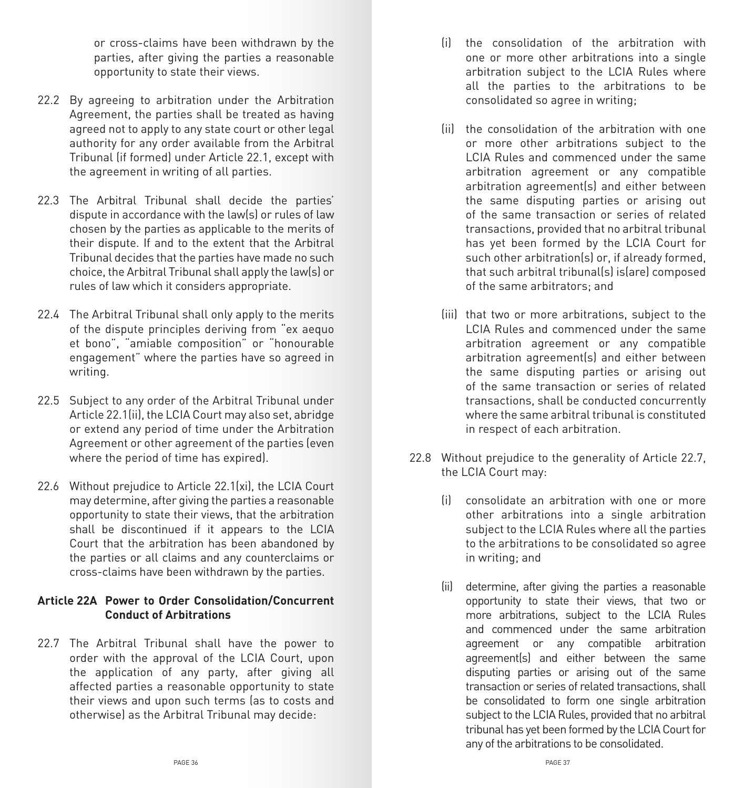or cross-claims have been withdrawn by the parties, after giving the parties a reasonable opportunity to state their views.

- 22.2 By agreeing to arbitration under the Arbitration Agreement, the parties shall be treated as having agreed not to apply to any state court or other legal authority for any order available from the Arbitral Tribunal (if formed) under Article 22.1, except with the agreement in writing of all parties.
- 22.3 The Arbitral Tribunal shall decide the parties' dispute in accordance with the law(s) or rules of law chosen by the parties as applicable to the merits of their dispute. If and to the extent that the Arbitral Tribunal decides that the parties have made no such choice, the Arbitral Tribunal shall apply the law(s) or rules of law which it considers appropriate.
- 22.4 The Arbitral Tribunal shall only apply to the merits of the dispute principles deriving from "ex aequo et bono", "amiable composition" or "honourable engagement" where the parties have so agreed in writing.
- 22.5 Subject to any order of the Arbitral Tribunal under Article 22.1(ii), the LCIA Court may also set, abridge or extend any period of time under the Arbitration Agreement or other agreement of the parties (even where the period of time has expired).
- 22.6 Without prejudice to Article 22.1(xi), the LCIA Court may determine, after giving the parties a reasonable opportunity to state their views, that the arbitration shall be discontinued if it appears to the LCIA Court that the arbitration has been abandoned by the parties or all claims and any counterclaims or cross-claims have been withdrawn by the parties.

### **Article 22A Power to Order Consolidation/Concurrent Conduct of Arbitrations**

22.7 The Arbitral Tribunal shall have the power to order with the approval of the LCIA Court, upon the application of any party, after giving all affected parties a reasonable opportunity to state their views and upon such terms (as to costs and otherwise) as the Arbitral Tribunal may decide:

- (i) the consolidation of the arbitration with one or more other arbitrations into a single arbitration subject to the LCIA Rules where all the parties to the arbitrations to be consolidated so agree in writing;
- (ii) the consolidation of the arbitration with one or more other arbitrations subject to the LCIA Rules and commenced under the same arbitration agreement or any compatible arbitration agreement(s) and either between the same disputing parties or arising out of the same transaction or series of related transactions, provided that no arbitral tribunal has yet been formed by the LCIA Court for such other arbitration(s) or, if already formed, that such arbitral tribunal(s) is(are) composed of the same arbitrators; and
- (iii) that two or more arbitrations, subject to the LCIA Rules and commenced under the same arbitration agreement or any compatible arbitration agreement(s) and either between the same disputing parties or arising out of the same transaction or series of related transactions, shall be conducted concurrently where the same arbitral tribunal is constituted in respect of each arbitration.
- 22.8 Without prejudice to the generality of Article 22.7, the LCIA Court may:
	- (i) consolidate an arbitration with one or more other arbitrations into a single arbitration subject to the LCIA Rules where all the parties to the arbitrations to be consolidated so agree in writing; and
	- (ii) determine, after giving the parties a reasonable opportunity to state their views, that two or more arbitrations, subject to the LCIA Rules and commenced under the same arbitration agreement or any compatible arbitration agreement(s) and either between the same disputing parties or arising out of the same transaction or series of related transactions, shall be consolidated to form one single arbitration subject to the LCIA Rules, provided that no arbitral tribunal has yet been formed by the LCIA Court for any of the arbitrations to be consolidated.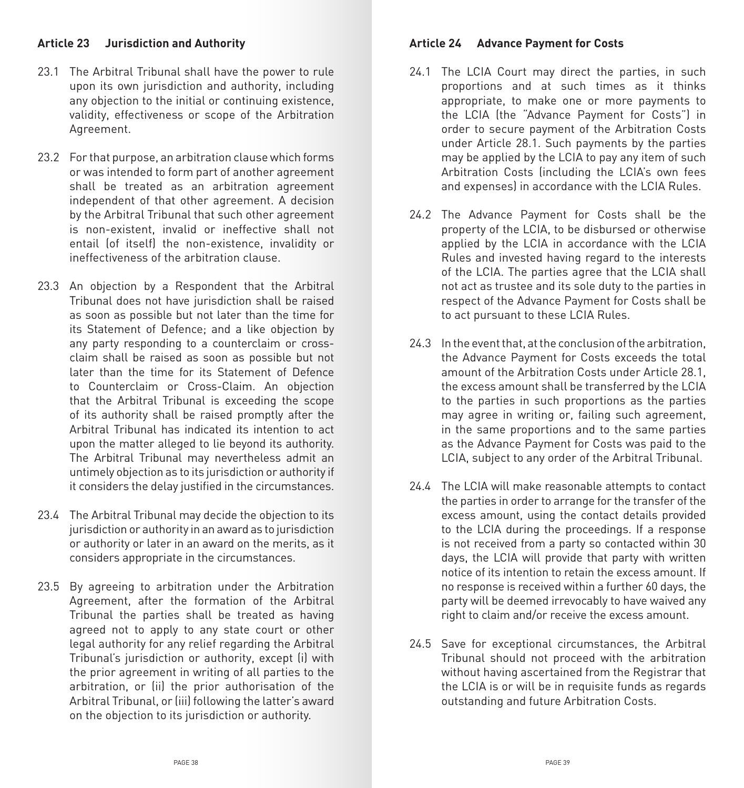#### **Article 23 Jurisdiction and Authority**

- 23.1 The Arbitral Tribunal shall have the power to rule upon its own jurisdiction and authority, including any objection to the initial or continuing existence, validity, effectiveness or scope of the Arbitration Agreement.
- 23.2 For that purpose, an arbitration clause which forms or was intended to form part of another agreement shall be treated as an arbitration agreement independent of that other agreement. A decision by the Arbitral Tribunal that such other agreement is non-existent, invalid or ineffective shall not entail (of itself) the non-existence, invalidity or ineffectiveness of the arbitration clause.
- 23.3 An objection by a Respondent that the Arbitral Tribunal does not have jurisdiction shall be raised as soon as possible but not later than the time for its Statement of Defence; and a like objection by any party responding to a counterclaim or crossclaim shall be raised as soon as possible but not later than the time for its Statement of Defence to Counterclaim or Cross-Claim. An objection that the Arbitral Tribunal is exceeding the scope of its authority shall be raised promptly after the Arbitral Tribunal has indicated its intention to act upon the matter alleged to lie beyond its authority. The Arbitral Tribunal may nevertheless admit an untimely objection as to its jurisdiction or authority if it considers the delay justified in the circumstances.
- 23.4 The Arbitral Tribunal may decide the objection to its jurisdiction or authority in an award as to jurisdiction or authority or later in an award on the merits, as it considers appropriate in the circumstances.
- 23.5 By agreeing to arbitration under the Arbitration Agreement, after the formation of the Arbitral Tribunal the parties shall be treated as having agreed not to apply to any state court or other legal authority for any relief regarding the Arbitral Tribunal's jurisdiction or authority, except (i) with the prior agreement in writing of all parties to the arbitration, or (ii) the prior authorisation of the Arbitral Tribunal, or (iii) following the latter's award on the objection to its jurisdiction or authority.

#### **Article 24 Advance Payment for Costs**

- 24.1 The LCIA Court may direct the parties, in such proportions and at such times as it thinks appropriate, to make one or more payments to the LCIA (the "Advance Payment for Costs") in order to secure payment of the Arbitration Costs under Article 28.1. Such payments by the parties may be applied by the LCIA to pay any item of such Arbitration Costs (including the LCIA's own fees and expenses) in accordance with the LCIA Rules.
- 24.2 The Advance Payment for Costs shall be the property of the LCIA, to be disbursed or otherwise applied by the LCIA in accordance with the LCIA Rules and invested having regard to the interests of the LCIA. The parties agree that the LCIA shall not act as trustee and its sole duty to the parties in respect of the Advance Payment for Costs shall be to act pursuant to these LCIA Rules.
- 24.3 In the event that, at the conclusion of the arbitration, the Advance Payment for Costs exceeds the total amount of the Arbitration Costs under Article 28.1, the excess amount shall be transferred by the LCIA to the parties in such proportions as the parties may agree in writing or, failing such agreement, in the same proportions and to the same parties as the Advance Payment for Costs was paid to the LCIA, subject to any order of the Arbitral Tribunal.
- 24.4 The LCIA will make reasonable attempts to contact the parties in order to arrange for the transfer of the excess amount, using the contact details provided to the LCIA during the proceedings. If a response is not received from a party so contacted within 30 days, the LCIA will provide that party with written notice of its intention to retain the excess amount. If no response is received within a further 60 days, the party will be deemed irrevocably to have waived any right to claim and/or receive the excess amount.
- 24.5 Save for exceptional circumstances, the Arbitral Tribunal should not proceed with the arbitration without having ascertained from the Registrar that the LCIA is or will be in requisite funds as regards outstanding and future Arbitration Costs.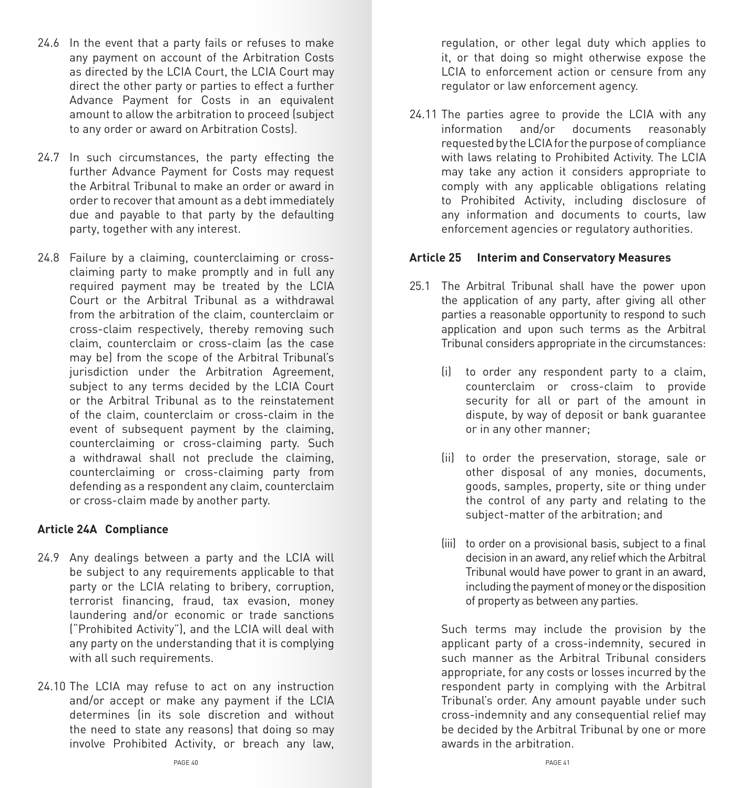- 24.6 In the event that a party fails or refuses to make any payment on account of the Arbitration Costs as directed by the LCIA Court, the LCIA Court may direct the other party or parties to effect a further Advance Payment for Costs in an equivalent amount to allow the arbitration to proceed (subject to any order or award on Arbitration Costs).
- 24.7 In such circumstances, the party effecting the further Advance Payment for Costs may request the Arbitral Tribunal to make an order or award in order to recover that amount as a debt immediately due and payable to that party by the defaulting party, together with any interest.
- 24.8 Failure by a claiming, counterclaiming or crossclaiming party to make promptly and in full any required payment may be treated by the LCIA Court or the Arbitral Tribunal as a withdrawal from the arbitration of the claim, counterclaim or cross-claim respectively, thereby removing such claim, counterclaim or cross-claim (as the case may be) from the scope of the Arbitral Tribunal's jurisdiction under the Arbitration Agreement. subject to any terms decided by the LCIA Court or the Arbitral Tribunal as to the reinstatement of the claim, counterclaim or cross-claim in the event of subsequent payment by the claiming, counterclaiming or cross-claiming party. Such a withdrawal shall not preclude the claiming, counterclaiming or cross-claiming party from defending as a respondent any claim, counterclaim or cross-claim made by another party.

#### **Article 24A Compliance**

- 24.9 Any dealings between a party and the LCIA will be subject to any requirements applicable to that party or the LCIA relating to bribery, corruption, terrorist financing, fraud, tax evasion, money laundering and/or economic or trade sanctions ("Prohibited Activity"), and the LCIA will deal with any party on the understanding that it is complying with all such requirements.
- 24.10 The LCIA may refuse to act on any instruction and/or accept or make any payment if the LCIA determines (in its sole discretion and without the need to state any reasons) that doing so may involve Prohibited Activity, or breach any law,

regulation, or other legal duty which applies to it, or that doing so might otherwise expose the LCIA to enforcement action or censure from any regulator or law enforcement agency.

24.11 The parties agree to provide the LCIA with any information and/or documents reasonably requested by the LCIA for the purpose of compliance with laws relating to Prohibited Activity. The LCIA may take any action it considers appropriate to comply with any applicable obligations relating to Prohibited Activity, including disclosure of any information and documents to courts, law enforcement agencies or regulatory authorities.

#### **Article 25 Interim and Conservatory Measures**

- 25.1 The Arbitral Tribunal shall have the power upon the application of any party, after giving all other parties a reasonable opportunity to respond to such application and upon such terms as the Arbitral Tribunal considers appropriate in the circumstances:
	- (i) to order any respondent party to a claim, counterclaim or cross-claim to provide security for all or part of the amount in dispute, by way of deposit or bank guarantee or in any other manner;
	- (ii) to order the preservation, storage, sale or other disposal of any monies, documents, goods, samples, property, site or thing under the control of any party and relating to the subject-matter of the arbitration; and
	- (iii) to order on a provisional basis, subject to a final decision in an award, any relief which the Arbitral Tribunal would have power to grant in an award, including the payment of money or the disposition of property as between any parties.

Such terms may include the provision by the applicant party of a cross-indemnity, secured in such manner as the Arbitral Tribunal considers appropriate, for any costs or losses incurred by the respondent party in complying with the Arbitral Tribunal's order. Any amount payable under such cross-indemnity and any consequential relief may be decided by the Arbitral Tribunal by one or more awards in the arbitration.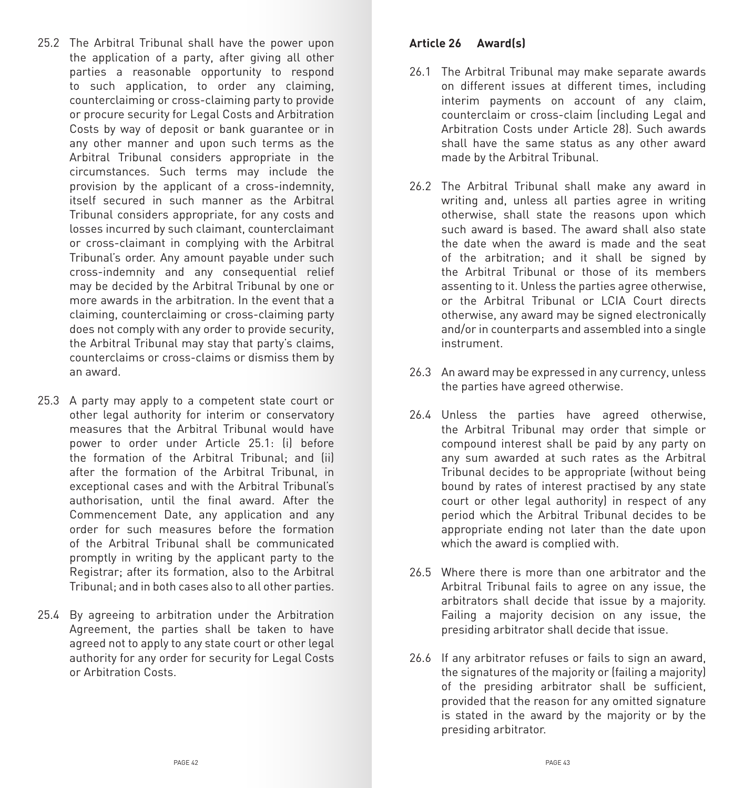- 25.2 The Arbitral Tribunal shall have the power upon the application of a party, after giving all other parties a reasonable opportunity to respond to such application, to order any claiming, counterclaiming or cross-claiming party to provide or procure security for Legal Costs and Arbitration Costs by way of deposit or bank guarantee or in any other manner and upon such terms as the Arbitral Tribunal considers appropriate in the circumstances. Such terms may include the provision by the applicant of a cross-indemnity, itself secured in such manner as the Arbitral Tribunal considers appropriate, for any costs and losses incurred by such claimant, counterclaimant or cross-claimant in complying with the Arbitral Tribunal's order. Any amount payable under such cross-indemnity and any consequential relief may be decided by the Arbitral Tribunal by one or more awards in the arbitration. In the event that a claiming, counterclaiming or cross-claiming party does not comply with any order to provide security, the Arbitral Tribunal may stay that party's claims, counterclaims or cross-claims or dismiss them by an award.
- 25.3 A party may apply to a competent state court or other legal authority for interim or conservatory measures that the Arbitral Tribunal would have power to order under Article 25.1: (i) before the formation of the Arbitral Tribunal; and (ii) after the formation of the Arbitral Tribunal, in exceptional cases and with the Arbitral Tribunal's authorisation, until the final award. After the Commencement Date, any application and any order for such measures before the formation of the Arbitral Tribunal shall be communicated promptly in writing by the applicant party to the Registrar; after its formation, also to the Arbitral Tribunal; and in both cases also to all other parties.
- 25.4 By agreeing to arbitration under the Arbitration Agreement, the parties shall be taken to have agreed not to apply to any state court or other legal authority for any order for security for Legal Costs or Arbitration Costs.

#### **Article 26 Award(s)**

- 26.1 The Arbitral Tribunal may make separate awards on different issues at different times, including interim payments on account of any claim, counterclaim or cross-claim (including Legal and Arbitration Costs under Article 28). Such awards shall have the same status as any other award made by the Arbitral Tribunal.
- 26.2 The Arbitral Tribunal shall make any award in writing and, unless all parties agree in writing otherwise, shall state the reasons upon which such award is based. The award shall also state the date when the award is made and the seat of the arbitration; and it shall be signed by the Arbitral Tribunal or those of its members assenting to it. Unless the parties agree otherwise, or the Arbitral Tribunal or LCIA Court directs otherwise, any award may be signed electronically and/or in counterparts and assembled into a single instrument.
- 26.3 An award may be expressed in any currency, unless the parties have agreed otherwise.
- 26.4 Unless the parties have agreed otherwise, the Arbitral Tribunal may order that simple or compound interest shall be paid by any party on any sum awarded at such rates as the Arbitral Tribunal decides to be appropriate (without being bound by rates of interest practised by any state court or other legal authority) in respect of any period which the Arbitral Tribunal decides to be appropriate ending not later than the date upon which the award is complied with.
- 26.5 Where there is more than one arbitrator and the Arbitral Tribunal fails to agree on any issue, the arbitrators shall decide that issue by a majority. Failing a majority decision on any issue, the presiding arbitrator shall decide that issue.
- 26.6 If any arbitrator refuses or fails to sign an award, the signatures of the majority or (failing a majority) of the presiding arbitrator shall be sufficient, provided that the reason for any omitted signature is stated in the award by the majority or by the presiding arbitrator.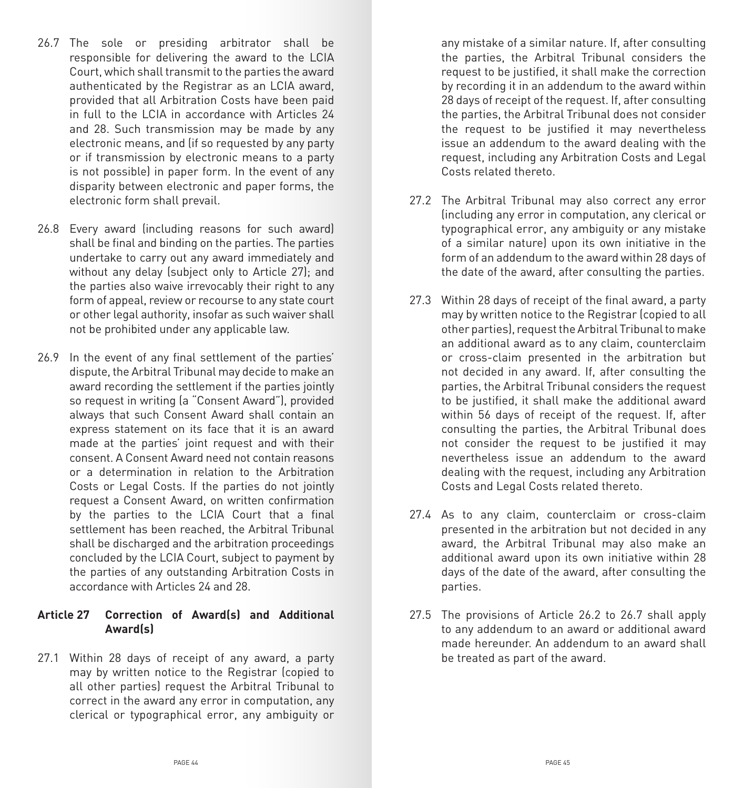- 26.7 The sole or presiding arbitrator shall be responsible for delivering the award to the LCIA Court, which shall transmit to the parties the award authenticated by the Registrar as an LCIA award, provided that all Arbitration Costs have been paid in full to the LCIA in accordance with Articles 24 and 28. Such transmission may be made by any electronic means, and (if so requested by any party or if transmission by electronic means to a party is not possible) in paper form. In the event of any disparity between electronic and paper forms, the electronic form shall prevail.
- 26.8 Every award (including reasons for such award) shall be final and binding on the parties. The parties undertake to carry out any award immediately and without any delay (subject only to Article 27); and the parties also waive irrevocably their right to any form of appeal, review or recourse to any state court or other legal authority, insofar as such waiver shall not be prohibited under any applicable law.
- 26.9 In the event of any final settlement of the parties' dispute, the Arbitral Tribunal may decide to make an award recording the settlement if the parties jointly so request in writing (a "Consent Award"), provided always that such Consent Award shall contain an express statement on its face that it is an award made at the parties' joint request and with their consent. A Consent Award need not contain reasons or a determination in relation to the Arbitration Costs or Legal Costs. If the parties do not jointly request a Consent Award, on written confirmation by the parties to the LCIA Court that a final settlement has been reached, the Arbitral Tribunal shall be discharged and the arbitration proceedings concluded by the LCIA Court, subject to payment by the parties of any outstanding Arbitration Costs in accordance with Articles 24 and 28.

#### **Article 27 Correction of Award(s) and Additional Award(s)**

27.1 Within 28 days of receipt of any award, a party may by written notice to the Registrar (copied to all other parties) request the Arbitral Tribunal to correct in the award any error in computation, any clerical or typographical error, any ambiguity or

any mistake of a similar nature. If, after consulting the parties, the Arbitral Tribunal considers the request to be justified, it shall make the correction by recording it in an addendum to the award within 28 days of receipt of the request. If, after consulting the parties, the Arbitral Tribunal does not consider the request to be justified it may nevertheless issue an addendum to the award dealing with the request, including any Arbitration Costs and Legal Costs related thereto.

- 27.2 The Arbitral Tribunal may also correct any error (including any error in computation, any clerical or typographical error, any ambiguity or any mistake of a similar nature) upon its own initiative in the form of an addendum to the award within 28 days of the date of the award, after consulting the parties.
- 27.3 Within 28 days of receipt of the final award, a party may by written notice to the Registrar (copied to all other parties), request the Arbitral Tribunal to make an additional award as to any claim, counterclaim or cross-claim presented in the arbitration but not decided in any award. If, after consulting the parties, the Arbitral Tribunal considers the request to be justified, it shall make the additional award within 56 days of receipt of the request. If, after consulting the parties, the Arbitral Tribunal does not consider the request to be justified it may nevertheless issue an addendum to the award dealing with the request, including any Arbitration Costs and Legal Costs related thereto.
- 27.4 As to any claim, counterclaim or cross-claim presented in the arbitration but not decided in any award, the Arbitral Tribunal may also make an additional award upon its own initiative within 28 days of the date of the award, after consulting the parties.
- 27.5 The provisions of Article 26.2 to 26.7 shall apply to any addendum to an award or additional award made hereunder. An addendum to an award shall be treated as part of the award.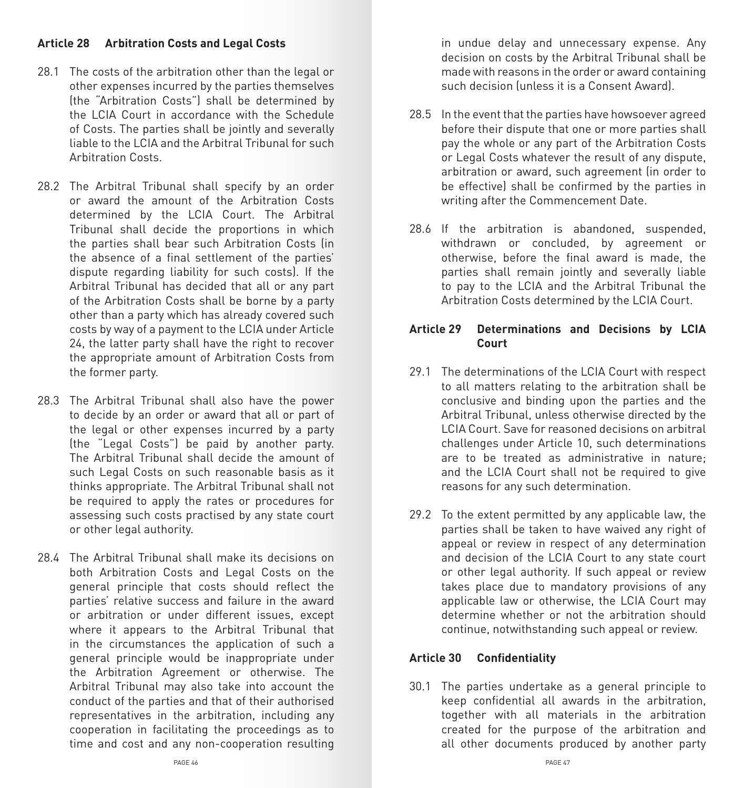#### **Article 28 Arbitration Costs and Legal Costs**

- 28.1 The costs of the arbitration other than the legal or other expenses incurred by the parties themselves (the "Arbitration Costs") shall be determined by the LCIA Court in accordance with the Schedule of Costs. The parties shall be jointly and severally liable to the LCIA and the Arbitral Tribunal for such Arbitration Costs.
- 28.2 The Arbitral Tribunal shall specify by an order or award the amount of the Arbitration Costs determined by the LCIA Court. The Arbitral Tribunal shall decide the proportions in which the parties shall bear such Arbitration Costs (in the absence of a final settlement of the parties' dispute regarding liability for such costs). If the Arbitral Tribunal has decided that all or any part of the Arbitration Costs shall be borne by a party other than a party which has already covered such costs by way of a payment to the LCIA under Article 24, the latter party shall have the right to recover the appropriate amount of Arbitration Costs from the former party.
- 28.3 The Arbitral Tribunal shall also have the power to decide by an order or award that all or part of the legal or other expenses incurred by a party (the "Legal Costs") be paid by another party. The Arbitral Tribunal shall decide the amount of such Legal Costs on such reasonable basis as it thinks appropriate. The Arbitral Tribunal shall not be required to apply the rates or procedures for assessing such costs practised by any state court or other legal authority.
- 28.4 The Arbitral Tribunal shall make its decisions on both Arbitration Costs and Legal Costs on the general principle that costs should reflect the parties' relative success and failure in the award or arbitration or under different issues, except where it appears to the Arbitral Tribunal that in the circumstances the application of such a general principle would be inappropriate under the Arbitration Agreement or otherwise. The Arbitral Tribunal may also take into account the conduct of the parties and that of their authorised representatives in the arbitration, including any cooperation in facilitating the proceedings as to time and cost and any non-cooperation resulting

in undue delay and unnecessary expense. Any decision on costs by the Arbitral Tribunal shall be made with reasons in the order or award containing such decision (unless it is a Consent Award).

- 28.5 In the event that the parties have howsoever agreed before their dispute that one or more parties shall pay the whole or any part of the Arbitration Costs or Legal Costs whatever the result of any dispute, arbitration or award, such agreement (in order to be effective) shall be confirmed by the parties in writing after the Commencement Date.
- 28.6 If the arbitration is abandoned, suspended, withdrawn or concluded, by agreement or otherwise, before the final award is made, the parties shall remain jointly and severally liable to pay to the LCIA and the Arbitral Tribunal the Arbitration Costs determined by the LCIA Court.

#### **Article 29 Determinations and Decisions by LCIA Court**

- 29.1 The determinations of the LCIA Court with respect to all matters relating to the arbitration shall be conclusive and binding upon the parties and the Arbitral Tribunal, unless otherwise directed by the LCIA Court. Save for reasoned decisions on arbitral challenges under Article 10, such determinations are to be treated as administrative in nature; and the LCIA Court shall not be required to give reasons for any such determination.
- 29.2 To the extent permitted by any applicable law, the parties shall be taken to have waived any right of appeal or review in respect of any determination and decision of the LCIA Court to any state court or other legal authority. If such appeal or review takes place due to mandatory provisions of any applicable law or otherwise, the LCIA Court may determine whether or not the arbitration should continue, notwithstanding such appeal or review.

#### **Article 30 Confidentiality**

30.1 The parties undertake as a general principle to keep confidential all awards in the arbitration, together with all materials in the arbitration created for the purpose of the arbitration and all other documents produced by another party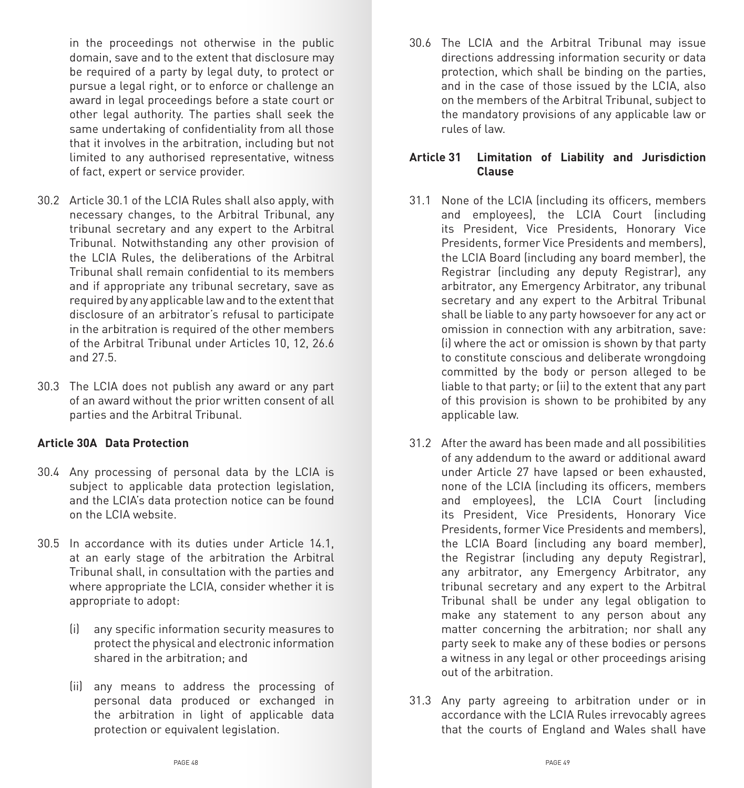in the proceedings not otherwise in the public domain, save and to the extent that disclosure may be required of a party by legal duty, to protect or pursue a legal right, or to enforce or challenge an award in legal proceedings before a state court or other legal authority. The parties shall seek the same undertaking of confidentiality from all those that it involves in the arbitration, including but not limited to any authorised representative, witness of fact, expert or service provider.

- 30.2 Article 30.1 of the LCIA Rules shall also apply, with necessary changes, to the Arbitral Tribunal, any tribunal secretary and any expert to the Arbitral Tribunal. Notwithstanding any other provision of the LCIA Rules, the deliberations of the Arbitral Tribunal shall remain confidential to its members and if appropriate any tribunal secretary, save as required by any applicable law and to the extent that disclosure of an arbitrator's refusal to participate in the arbitration is required of the other members of the Arbitral Tribunal under Articles 10, 12, 26.6 and 27.5.
- 30.3 The LCIA does not publish any award or any part of an award without the prior written consent of all parties and the Arbitral Tribunal.

## **Article 30A Data Protection**

- 30.4 Any processing of personal data by the LCIA is subject to applicable data protection legislation, and the LCIA's data protection notice can be found on the LCIA website.
- 30.5 In accordance with its duties under Article 14.1, at an early stage of the arbitration the Arbitral Tribunal shall, in consultation with the parties and where appropriate the LCIA, consider whether it is appropriate to adopt:
	- (i) any specific information security measures to protect the physical and electronic information shared in the arbitration; and
	- (ii) any means to address the processing of personal data produced or exchanged in the arbitration in light of applicable data protection or equivalent legislation.

30.6 The LCIA and the Arbitral Tribunal may issue directions addressing information security or data protection, which shall be binding on the parties, and in the case of those issued by the LCIA, also on the members of the Arbitral Tribunal, subject to the mandatory provisions of any applicable law or rules of law.

## **Article 31 Limitation of Liability and Jurisdiction Clause**

- 31.1 None of the LCIA (including its officers, members and employees), the LCIA Court (including its President, Vice Presidents, Honorary Vice Presidents, former Vice Presidents and members), the LCIA Board (including any board member), the Registrar (including any deputy Registrar), any arbitrator, any Emergency Arbitrator, any tribunal secretary and any expert to the Arbitral Tribunal shall be liable to any party howsoever for any act or omission in connection with any arbitration, save: (i) where the act or omission is shown by that party to constitute conscious and deliberate wrongdoing committed by the body or person alleged to be liable to that party; or (ii) to the extent that any part of this provision is shown to be prohibited by any applicable law.
- 31.2 After the award has been made and all possibilities of any addendum to the award or additional award under Article 27 have lapsed or been exhausted, none of the LCIA (including its officers, members and employees), the LCIA Court (including its President, Vice Presidents, Honorary Vice Presidents, former Vice Presidents and members), the LCIA Board (including any board member), the Registrar (including any deputy Registrar), any arbitrator, any Emergency Arbitrator, any tribunal secretary and any expert to the Arbitral Tribunal shall be under any legal obligation to make any statement to any person about any matter concerning the arbitration; nor shall any party seek to make any of these bodies or persons a witness in any legal or other proceedings arising out of the arbitration.
- 31.3 Any party agreeing to arbitration under or in accordance with the LCIA Rules irrevocably agrees that the courts of England and Wales shall have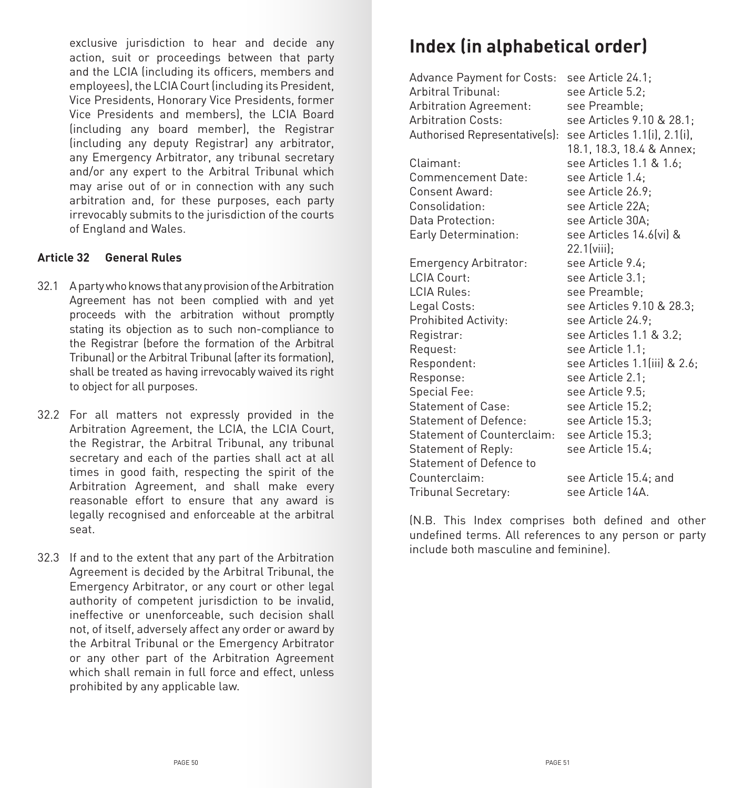exclusive jurisdiction to hear and decide any action, suit or proceedings between that party and the LCIA (including its officers, members and employees), the LCIA Court (including its President, Vice Presidents, Honorary Vice Presidents, former Vice Presidents and members), the LCIA Board (including any board member), the Registrar (including any deputy Registrar) any arbitrator, any Emergency Arbitrator, any tribunal secretary and/or any expert to the Arbitral Tribunal which may arise out of or in connection with any such arbitration and, for these purposes, each party irrevocably submits to the jurisdiction of the courts of England and Wales.

#### **Article 32 General Rules**

- 32.1 A party who knows that any provision of the Arbitration Agreement has not been complied with and yet proceeds with the arbitration without promptly stating its objection as to such non-compliance to the Registrar (before the formation of the Arbitral Tribunal) or the Arbitral Tribunal (after its formation), shall be treated as having irrevocably waived its right to object for all purposes.
- 32.2 For all matters not expressly provided in the Arbitration Agreement, the LCIA, the LCIA Court, the Registrar, the Arbitral Tribunal, any tribunal secretary and each of the parties shall act at all times in good faith, respecting the spirit of the Arbitration Agreement, and shall make every reasonable effort to ensure that any award is legally recognised and enforceable at the arbitral seat.
- 32.3 If and to the extent that any part of the Arbitration Agreement is decided by the Arbitral Tribunal, the Emergency Arbitrator, or any court or other legal authority of competent jurisdiction to be invalid, ineffective or unenforceable, such decision shall not, of itself, adversely affect any order or award by the Arbitral Tribunal or the Emergency Arbitrator or any other part of the Arbitration Agreement which shall remain in full force and effect, unless prohibited by any applicable law.

## **Index (in alphabetical order)**

| <b>Advance Payment for Costs:</b> | see Article 24.1;            |
|-----------------------------------|------------------------------|
| Arbitral Tribunal:                | see Article 5.2;             |
| <b>Arbitration Agreement:</b>     | see Preamble:                |
| <b>Arbitration Costs:</b>         | see Articles 9.10 & 28.1;    |
| Authorised Representative(s):     | see Articles 1.1(i), 2.1(i), |
|                                   | 18.1, 18.3, 18.4 & Annex;    |
| Claimant:                         | see Articles 1.1 & 1.6;      |
| <b>Commencement Date:</b>         | see Article 1.4:             |
| Consent Award:                    | see Article 26.9;            |
| Consolidation:                    | see Article 22A:             |
| Data Protection:                  | see Article 30A;             |
| Early Determination:              | see Articles 14.6(vi) &      |
|                                   | $22.1$ (viii):               |
| <b>Emergency Arbitrator:</b>      | see Article 9.4:             |
| <b>LCIA Court:</b>                | see Article 3.1:             |
| LCIA Rules:                       | see Preamble;                |
| Legal Costs:                      | see Articles 9.10 & 28.3;    |
| <b>Prohibited Activity:</b>       | see Article 24.9:            |
| Registrar:                        | see Articles 1.1 & 3.2;      |
| Request:                          | see Article 1.1:             |
| Respondent:                       | see Articles 1.1(iii) & 2.6; |
| Response:                         | see Article 2.1:             |
| Special Fee:                      | see Article 9.5;             |
| <b>Statement of Case:</b>         | see Article 15.2:            |
| <b>Statement of Defence:</b>      | see Article 15.3;            |
| Statement of Counterclaim:        | see Article 15.3:            |
| <b>Statement of Reply:</b>        | see Article 15.4;            |
| <b>Statement of Defence to</b>    |                              |
| Counterclaim:                     | see Article 15.4; and        |
| Tribunal Secretary:               | see Article 14A.             |
|                                   |                              |

(N.B. This Index comprises both defined and other undefined terms. All references to any person or party include both masculine and feminine).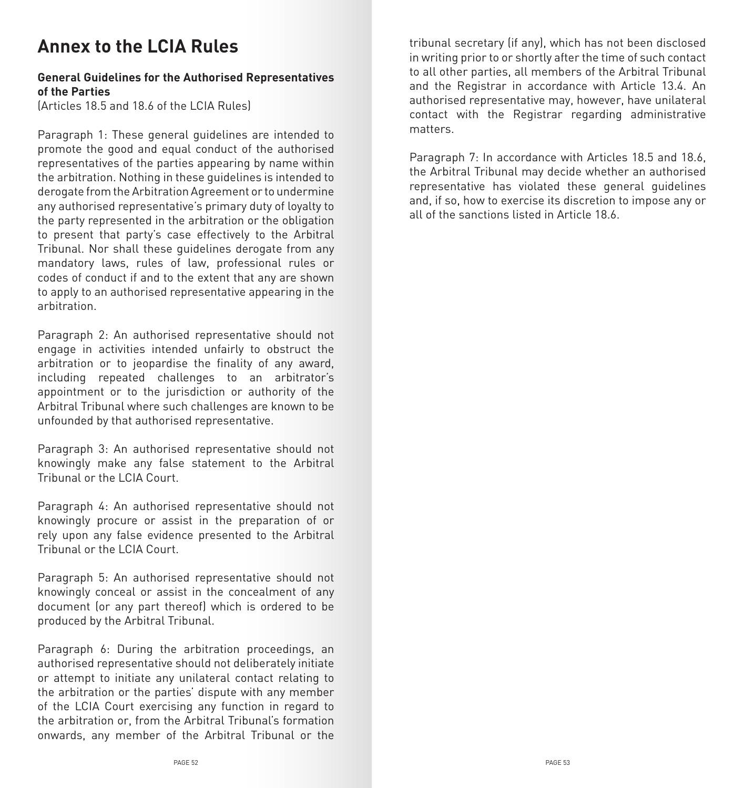## **Annex to the LCIA Rules**

#### **General Guidelines for the Authorised Representatives of the Parties**

(Articles 18.5 and 18.6 of the LCIA Rules)

Paragraph 1: These general guidelines are intended to promote the good and equal conduct of the authorised representatives of the parties appearing by name within the arbitration. Nothing in these guidelines is intended to derogate from the Arbitration Agreement or to undermine any authorised representative's primary duty of loyalty to the party represented in the arbitration or the obligation to present that party's case effectively to the Arbitral Tribunal. Nor shall these guidelines derogate from any mandatory laws, rules of law, professional rules or codes of conduct if and to the extent that any are shown to apply to an authorised representative appearing in the arbitration.

Paragraph 2: An authorised representative should not engage in activities intended unfairly to obstruct the arbitration or to jeopardise the finality of any award, including repeated challenges to an arbitrator's appointment or to the jurisdiction or authority of the Arbitral Tribunal where such challenges are known to be unfounded by that authorised representative.

Paragraph 3: An authorised representative should not knowingly make any false statement to the Arbitral Tribunal or the LCIA Court.

Paragraph 4: An authorised representative should not knowingly procure or assist in the preparation of or rely upon any false evidence presented to the Arbitral Tribunal or the LCIA Court.

Paragraph 5: An authorised representative should not knowingly conceal or assist in the concealment of any document (or any part thereof) which is ordered to be produced by the Arbitral Tribunal.

Paragraph 6: During the arbitration proceedings, an authorised representative should not deliberately initiate or attempt to initiate any unilateral contact relating to the arbitration or the parties' dispute with any member of the LCIA Court exercising any function in regard to the arbitration or, from the Arbitral Tribunal's formation onwards, any member of the Arbitral Tribunal or the tribunal secretary (if any), which has not been disclosed in writing prior to or shortly after the time of such contact to all other parties, all members of the Arbitral Tribunal and the Registrar in accordance with Article 13.4. An authorised representative may, however, have unilateral contact with the Registrar regarding administrative matters.

Paragraph 7: In accordance with Articles 18.5 and 18.6, the Arbitral Tribunal may decide whether an authorised representative has violated these general guidelines and, if so, how to exercise its discretion to impose any or all of the sanctions listed in Article 18.6.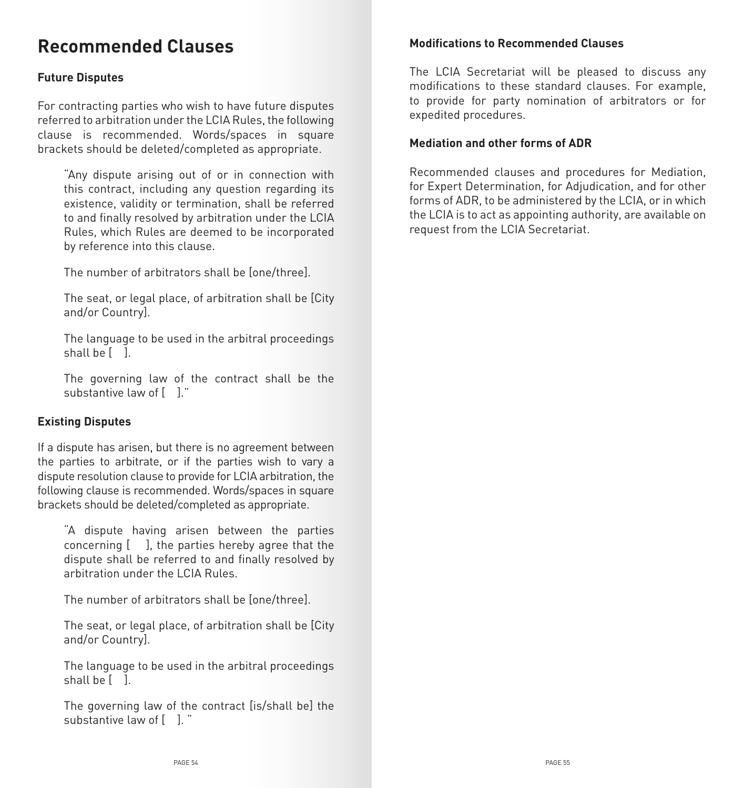## **Recommended Clauses**

#### **Future Disputes**

For contracting parties who wish to have future disputes referred to arbitration under the LCIA Rules, the following clause is recommended. Words/spaces in square brackets should be deleted/completed as appropriate.

"Any dispute arising out of or in connection with this contract, including any question regarding its existence, validity or termination, shall be referred to and finally resolved by arbitration under the LCIA Rules, which Rules are deemed to be incorporated by reference into this clause.

The number of arbitrators shall be [one/three].

The seat, or legal place, of arbitration shall be [City and/or Country].

The language to be used in the arbitral proceedings shall be [ ].

The governing law of the contract shall be the substantive law of [ ]."

#### **Existing Disputes**

If a dispute has arisen, but there is no agreement between the parties to arbitrate, or if the parties wish to vary a dispute resolution clause to provide for LCIA arbitration, the following clause is recommended. Words/spaces in square brackets should be deleted/completed as appropriate.

"A dispute having arisen between the parties concerning [ ], the parties hereby agree that the dispute shall be referred to and finally resolved by arbitration under the LCIA Rules.

The number of arbitrators shall be [one/three].

The seat, or legal place, of arbitration shall be [City and/or Country].

The language to be used in the arbitral proceedings shall be [ ].

The governing law of the contract lis/shall bel the substantive law of  $\left[ \begin{array}{cc} 1 \\ 1 \end{array} \right]$ 

#### **Modifications to Recommended Clauses**

The LCIA Secretariat will be pleased to discuss any modifications to these standard clauses. For example, to provide for party nomination of arbitrators or for expedited procedures.

#### **Mediation and other forms of ADR**

Recommended clauses and procedures for Mediation, for Expert Determination, for Adjudication, and for other forms of ADR, to be administered by the LCIA, or in which the LCIA is to act as appointing authority, are available on request from the LCIA Secretariat.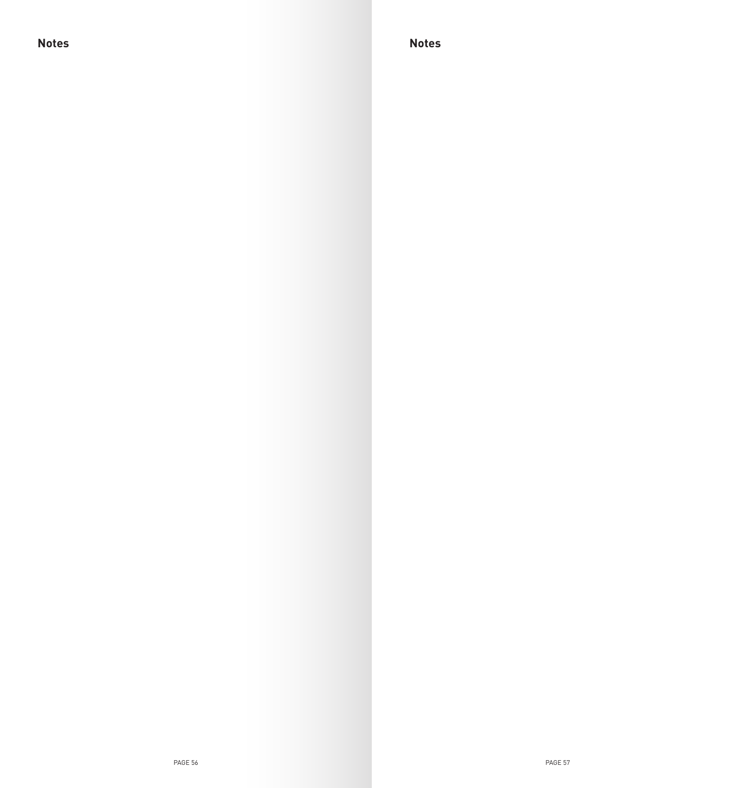**Notes Notes**